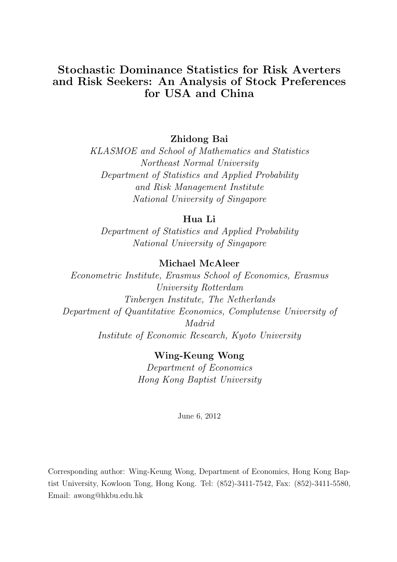## Stochastic Dominance Statistics for Risk Averters and Risk Seekers: An Analysis of Stock Preferences for USA and China

### Zhidong Bai

KLASMOE and School of Mathematics and Statistics Northeast Normal University Department of Statistics and Applied Probability and Risk Management Institute National University of Singapore

### Hua Li

Department of Statistics and Applied Probability National University of Singapore

### Michael McAleer

Econometric Institute, Erasmus School of Economics, Erasmus University Rotterdam Tinbergen Institute, The Netherlands Department of Quantitative Economics, Complutense University of Madrid Institute of Economic Research, Kyoto University

> Wing-Keung Wong Department of Economics Hong Kong Baptist University

> > June 6, 2012

Corresponding author: Wing-Keung Wong, Department of Economics, Hong Kong Baptist University, Kowloon Tong, Hong Kong. Tel: (852)-3411-7542, Fax: (852)-3411-5580, Email: awong@hkbu.edu.hk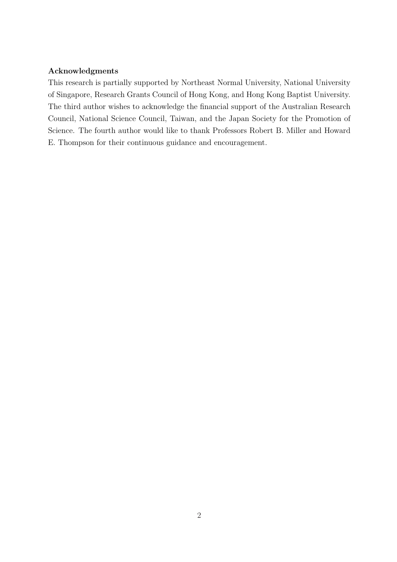#### Acknowledgments

This research is partially supported by Northeast Normal University, National University of Singapore, Research Grants Council of Hong Kong, and Hong Kong Baptist University. The third author wishes to acknowledge the financial support of the Australian Research Council, National Science Council, Taiwan, and the Japan Society for the Promotion of Science. The fourth author would like to thank Professors Robert B. Miller and Howard E. Thompson for their continuous guidance and encouragement.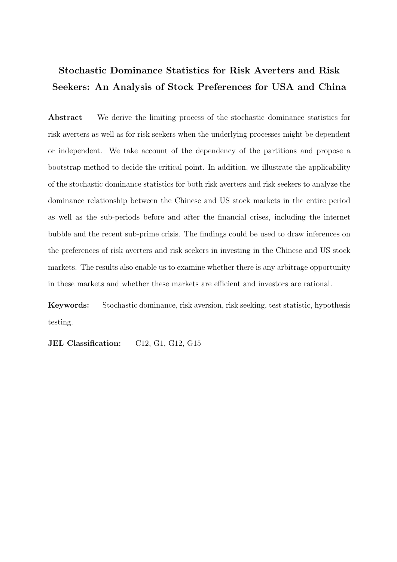# Stochastic Dominance Statistics for Risk Averters and Risk Seekers: An Analysis of Stock Preferences for USA and China

Abstract We derive the limiting process of the stochastic dominance statistics for risk averters as well as for risk seekers when the underlying processes might be dependent or independent. We take account of the dependency of the partitions and propose a bootstrap method to decide the critical point. In addition, we illustrate the applicability of the stochastic dominance statistics for both risk averters and risk seekers to analyze the dominance relationship between the Chinese and US stock markets in the entire period as well as the sub-periods before and after the financial crises, including the internet bubble and the recent sub-prime crisis. The findings could be used to draw inferences on the preferences of risk averters and risk seekers in investing in the Chinese and US stock markets. The results also enable us to examine whether there is any arbitrage opportunity in these markets and whether these markets are efficient and investors are rational.

Keywords: Stochastic dominance, risk aversion, risk seeking, test statistic, hypothesis testing.

JEL Classification: C12, G1, G12, G15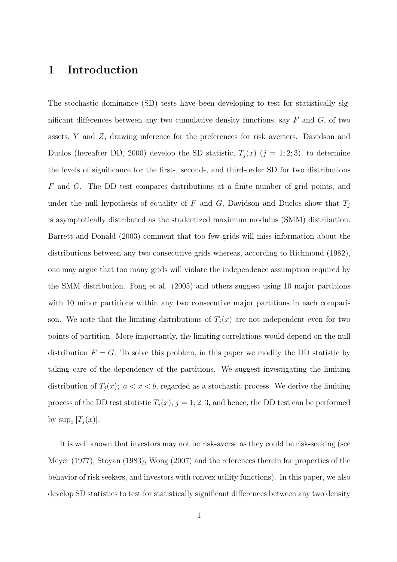## 1 Introduction

The stochastic dominance (SD) tests have been developing to test for statistically significant differences between any two cumulative density functions, say  $F$  and  $G$ , of two assets, Y and Z, drawing inference for the preferences for risk averters. Davidson and Duclos (hereafter DD, 2000) develop the SD statistic,  $T_j(x)$  ( $j = 1, 2, 3$ ), to determine the levels of significance for the first-, second-, and third-order SD for two distributions F and G. The DD test compares distributions at a finite number of grid points, and under the null hypothesis of equality of F and G, Davidson and Duclos show that  $T_i$ is asymptotically distributed as the studentized maximum modulus (SMM) distribution. Barrett and Donald (2003) comment that too few grids will miss information about the distributions between any two consecutive grids whereas, according to Richmond (1982), one may argue that too many grids will violate the independence assumption required by the SMM distribution. Fong et al. (2005) and others suggest using 10 major partitions with 10 minor partitions within any two consecutive major partitions in each comparison. We note that the limiting distributions of  $T_i(x)$  are not independent even for two points of partition. More importantly, the limiting correlations would depend on the null distribution  $F = G$ . To solve this problem, in this paper we modify the DD statistic by taking care of the dependency of the partitions. We suggest investigating the limiting distribution of  $T_j(x)$ ;  $a < x < b$ , regarded as a stochastic process. We derive the limiting process of the DD test statistic  $T_j(x)$ ,  $j = 1, 2, 3$ , and hence, the DD test can be performed by  $\sup_x |T_j(x)|$ .

It is well known that investors may not be risk-averse as they could be risk-seeking (see Meyer (1977), Stoyan (1983), Wong (2007) and the references therein for properties of the behavior of risk seekers, and investors with convex utility functions). In this paper, we also develop SD statistics to test for statistically significant differences between any two density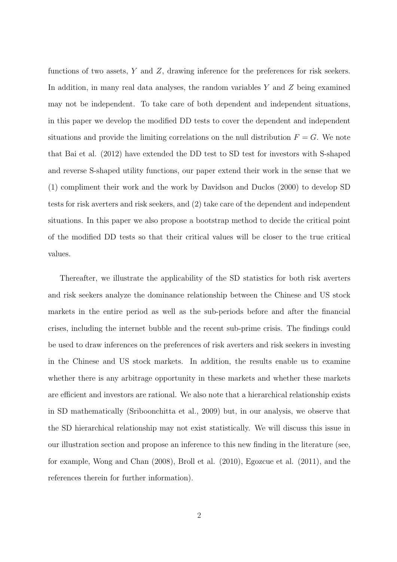functions of two assets,  $Y$  and  $Z$ , drawing inference for the preferences for risk seekers. In addition, in many real data analyses, the random variables Y and Z being examined may not be independent. To take care of both dependent and independent situations, in this paper we develop the modified DD tests to cover the dependent and independent situations and provide the limiting correlations on the null distribution  $F = G$ . We note that Bai et al. (2012) have extended the DD test to SD test for investors with S-shaped and reverse S-shaped utility functions, our paper extend their work in the sense that we (1) compliment their work and the work by Davidson and Duclos (2000) to develop SD tests for risk averters and risk seekers, and (2) take care of the dependent and independent situations. In this paper we also propose a bootstrap method to decide the critical point of the modified DD tests so that their critical values will be closer to the true critical values.

Thereafter, we illustrate the applicability of the SD statistics for both risk averters and risk seekers analyze the dominance relationship between the Chinese and US stock markets in the entire period as well as the sub-periods before and after the financial crises, including the internet bubble and the recent sub-prime crisis. The findings could be used to draw inferences on the preferences of risk averters and risk seekers in investing in the Chinese and US stock markets. In addition, the results enable us to examine whether there is any arbitrage opportunity in these markets and whether these markets are efficient and investors are rational. We also note that a hierarchical relationship exists in SD mathematically (Sriboonchitta et al., 2009) but, in our analysis, we observe that the SD hierarchical relationship may not exist statistically. We will discuss this issue in our illustration section and propose an inference to this new finding in the literature (see, for example, Wong and Chan (2008), Broll et al. (2010), Egozcue et al. (2011), and the references therein for further information).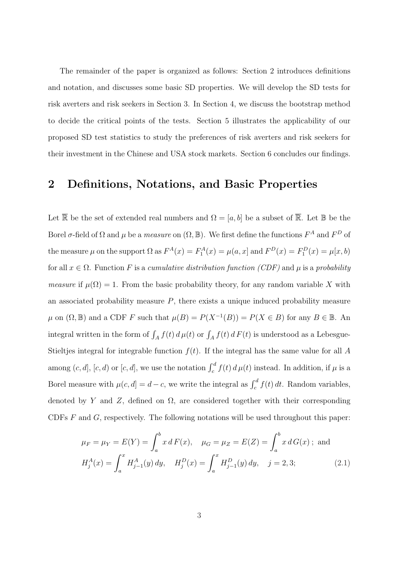The remainder of the paper is organized as follows: Section 2 introduces definitions and notation, and discusses some basic SD properties. We will develop the SD tests for risk averters and risk seekers in Section 3. In Section 4, we discuss the bootstrap method to decide the critical points of the tests. Section 5 illustrates the applicability of our proposed SD test statistics to study the preferences of risk averters and risk seekers for their investment in the Chinese and USA stock markets. Section 6 concludes our findings.

### 2 Definitions, Notations, and Basic Properties

Let  $\overline{\mathbb{R}}$  be the set of extended real numbers and  $\Omega = [a, b]$  be a subset of  $\overline{\mathbb{R}}$ . Let  $\mathbb{B}$  be the Borel  $\sigma$ -field of  $\Omega$  and  $\mu$  be a *measure* on  $(\Omega, \mathbb{B})$ . We first define the functions  $F^A$  and  $F^D$  of the measure  $\mu$  on the support  $\Omega$  as  $F^A(x) = F_1^A(x) = \mu(a, x]$  and  $F^D(x) = F_1^D(x) = \mu[x, b)$ for all  $x \in \Omega$ . Function F is a cumulative distribution function (CDF) and  $\mu$  is a probability *measure* if  $\mu(\Omega) = 1$ . From the basic probability theory, for any random variable X with an associated probability measure  $P$ , there exists a unique induced probability measure  $\mu$  on  $(\Omega, \mathbb{B})$  and a CDF F such that  $\mu(B) = P(X^{-1}(B)) = P(X \in B)$  for any  $B \in \mathbb{B}$ . An integral written in the form of  $\int_A f(t) d\mu(t)$  or  $\int_A f(t) dF(t)$  is understood as a Lebesgue-Stieltjes integral for integrable function  $f(t)$ . If the integral has the same value for all A among  $(c, d]$ ,  $[c, d)$  or  $[c, d]$ , we use the notation  $\int_c^d f(t) d\mu(t)$  instead. In addition, if  $\mu$  is a Borel measure with  $\mu(c, d] = d - c$ , we write the integral as  $\int_c^d f(t) dt$ . Random variables, denoted by Y and Z, defined on  $\Omega$ , are considered together with their corresponding CDFs  $F$  and  $G$ , respectively. The following notations will be used throughout this paper:

$$
\mu_F = \mu_Y = E(Y) = \int_a^b x \, dF(x), \quad \mu_G = \mu_Z = E(Z) = \int_a^b x \, dG(x) \; ; \text{ and}
$$

$$
H_j^A(x) = \int_a^x H_{j-1}^A(y) \, dy, \quad H_j^D(x) = \int_a^x H_{j-1}^D(y) \, dy, \quad j = 2, 3; \tag{2.1}
$$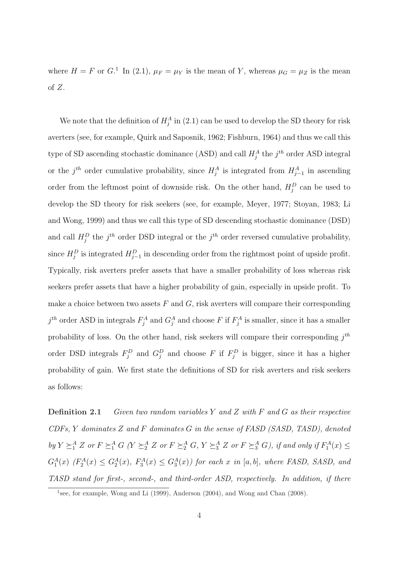where  $H = F$  or  $G<sup>1</sup>$ . In (2.1),  $\mu_F = \mu_Y$  is the mean of Y, whereas  $\mu_G = \mu_Z$  is the mean of Z.

We note that the definition of  $H_j^A$  in (2.1) can be used to develop the SD theory for risk averters (see, for example, Quirk and Saposnik, 1962; Fishburn, 1964) and thus we call this type of SD ascending stochastic dominance (ASD) and call  $H_j^A$  the  $j^{th}$  order ASD integral or the  $j^{th}$  order cumulative probability, since  $H_j^A$  is integrated from  $H_{j-1}^A$  in ascending order from the leftmost point of downside risk. On the other hand,  $H_j^D$  can be used to develop the SD theory for risk seekers (see, for example, Meyer, 1977; Stoyan, 1983; Li and Wong, 1999) and thus we call this type of SD descending stochastic dominance (DSD) and call  $H_j^D$  the j<sup>th</sup> order DSD integral or the j<sup>th</sup> order reversed cumulative probability, since  $H_j^D$  is integrated  $H_{j-1}^D$  in descending order from the rightmost point of upside profit. Typically, risk averters prefer assets that have a smaller probability of loss whereas risk seekers prefer assets that have a higher probability of gain, especially in upside profit. To make a choice between two assets  $F$  and  $G$ , risk averters will compare their corresponding  $j^{th}$  order ASD in integrals  $F_j^A$  and  $G_j^A$  and choose F if  $F_j^A$  is smaller, since it has a smaller probability of loss. On the other hand, risk seekers will compare their corresponding  $j^{th}$ order DSD integrals  $F_j^D$  and  $G_j^D$  and choose F if  $F_j^D$  is bigger, since it has a higher probability of gain. We first state the definitions of SD for risk averters and risk seekers as follows:

**Definition 2.1** Given two random variables Y and Z with F and G as their respective CDFs, Y dominates Z and F dominates G in the sense of FASD (SASD, TASD), denoted by  $Y \succeq_1^A Z$  or  $F \succeq_1^A G$  ( $Y \succeq_2^A Z$  or  $F \succeq_2^A Z$ ,  $Y \succeq_3^A Z$  or  $F \succeq_3^A G$ ), if and only if  $F_1^A(x) \le$  $G_1^A(x)$  ( $F_2^A(x) \leq G_2^A(x)$ ,  $F_3^A(x) \leq G_3^A(x)$ ) for each x in [a, b], where FASD, SASD, and TASD stand for first-, second-, and third-order ASD, respectively. In addition, if there

<sup>&</sup>lt;sup>1</sup>see, for example, Wong and Li (1999), Anderson (2004), and Wong and Chan (2008).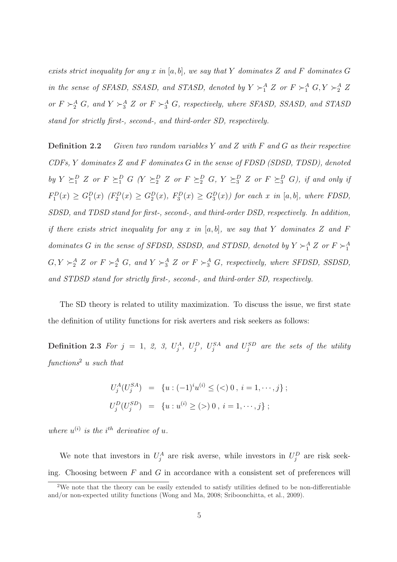exists strict inequality for any x in [a, b], we say that Y dominates Z and F dominates G in the sense of SFASD, SSASD, and STASD, denoted by  $Y \succ_1^A Z$  or  $F \succ_1^A G$ ,  $Y \succ_2^A Z$ or  $F \succ_2^A G$ , and  $Y \succ_3^A Z$  or  $F \succ_3^A G$ , respectively, where SFASD, SSASD, and STASD stand for strictly first-, second-, and third-order SD, respectively.

**Definition 2.2** Given two random variables Y and Z with F and G as their respective  $CDFs, Y$  dominates  $Z$  and  $F$  dominates  $G$  in the sense of  $FDSD$  ( $SDSD, TDSD$ ), denoted by  $Y \succeq_1^D Z$  or  $F \succeq_1^D G$  ( $Y \succeq_2^D Z$  or  $F \succeq_2^D G$ ,  $Y \succeq_3^D Z$  or  $F \succeq_3^D G$ ), if and only if  $F_1^D(x) \geq G_1^D(x)$   $(F_2^D(x) \geq G_2^D(x), F_3^D(x) \geq G_3^D(x))$  for each x in [a, b], where FDSD, SDSD, and TDSD stand for first-, second-, and third-order DSD, respectively. In addition, if there exists strict inequality for any x in  $[a, b]$ , we say that Y dominates Z and F dominates G in the sense of SFDSD, SSDSD, and STDSD, denoted by  $Y \succ_1^A Z$  or  $F \succ_1^A Z$  $G, Y \succ_2^A Z$  or  $F \succ_2^A G$ , and  $Y \succ_3^A Z$  or  $F \succ_3^A G$ , respectively, where SFDSD, SSDSD, and STDSD stand for strictly first-, second-, and third-order SD, respectively.

The SD theory is related to utility maximization. To discuss the issue, we first state the definition of utility functions for risk averters and risk seekers as follows:

**Definition 2.3** For  $j = 1, 2, 3, U_j^A$ ,  $U_j^D$ ,  $U_j^{SA}$  and  $U_j^{SD}$  are the sets of the utility  $functions<sup>2</sup>$  u such that

$$
U_j^A(U_j^{SA}) = \{ u : (-1)^i u^{(i)} \le (\lt) 0, i = 1, \cdots, j \};
$$
  

$$
U_j^D(U_j^{SD}) = \{ u : u^{(i)} \ge (\gt) 0, i = 1, \cdots, j \};
$$

where  $u^{(i)}$  is the i<sup>th</sup> derivative of u.

We note that investors in  $U_j^A$  are risk averse, while investors in  $U_j^D$  are risk seeking. Choosing between  $F$  and  $G$  in accordance with a consistent set of preferences will

<sup>&</sup>lt;sup>2</sup>We note that the theory can be easily extended to satisfy utilities defined to be non-differentiable and/or non-expected utility functions (Wong and Ma, 2008; Sriboonchitta, et al., 2009).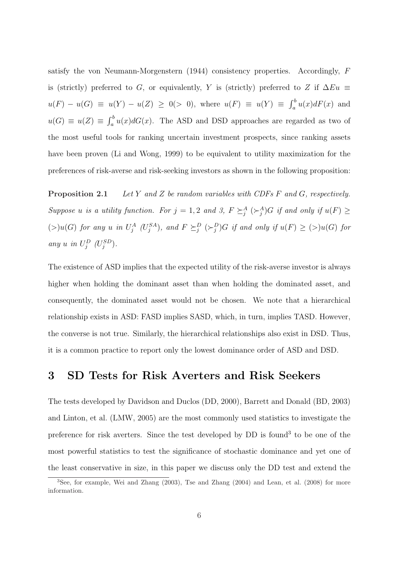satisfy the von Neumann-Morgenstern (1944) consistency properties. Accordingly, F is (strictly) preferred to G, or equivalently, Y is (strictly) preferred to Z if  $\Delta Eu$  $u(F) - u(G) \equiv u(Y) - u(Z) \ge 0$  (> 0), where  $u(F) \equiv u(Y) \equiv \int_{a}^{b}$  $\int_a^b u(x)dF(x)$  and  $u(G) \equiv u(Z) \equiv \int_a^b$  $a<sup>0</sup> u(x)dG(x)$ . The ASD and DSD approaches are regarded as two of the most useful tools for ranking uncertain investment prospects, since ranking assets have been proven (Li and Wong, 1999) to be equivalent to utility maximization for the preferences of risk-averse and risk-seeking investors as shown in the following proposition:

**Proposition 2.1** Let Y and Z be random variables with CDFs  $F$  and  $G$ , respectively. Suppose u is a utility function. For  $j = 1, 2$  and 3,  $F \succeq_j^A (\succeq_j^A) G$  if and only if  $u(F) \geq$  $(S)u(G)$  for any u in  $U_j^A$   $(U_j^{SA})$ , and  $F \succeq_j^D (\succeq_j^D)G$  if and only if  $u(F) \ge (>)u(G)$  for any u in  $U_j^D$  ( $U_j^{SD}$ ).

The existence of ASD implies that the expected utility of the risk-averse investor is always higher when holding the dominant asset than when holding the dominated asset, and consequently, the dominated asset would not be chosen. We note that a hierarchical relationship exists in ASD: FASD implies SASD, which, in turn, implies TASD. However, the converse is not true. Similarly, the hierarchical relationships also exist in DSD. Thus, it is a common practice to report only the lowest dominance order of ASD and DSD.

### 3 SD Tests for Risk Averters and Risk Seekers

The tests developed by Davidson and Duclos (DD, 2000), Barrett and Donald (BD, 2003) and Linton, et al. (LMW, 2005) are the most commonly used statistics to investigate the preference for risk averters. Since the test developed by DD is found<sup>3</sup> to be one of the most powerful statistics to test the significance of stochastic dominance and yet one of the least conservative in size, in this paper we discuss only the DD test and extend the

<sup>&</sup>lt;sup>3</sup>See, for example, Wei and Zhang (2003), Tse and Zhang (2004) and Lean, et al. (2008) for more information.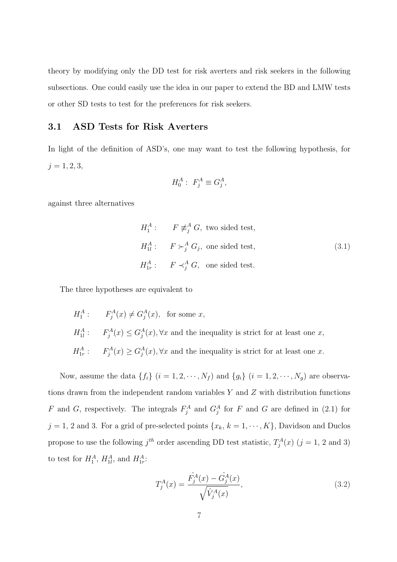theory by modifying only the DD test for risk averters and risk seekers in the following subsections. One could easily use the idea in our paper to extend the BD and LMW tests or other SD tests to test for the preferences for risk seekers.

#### 3.1 ASD Tests for Risk Averters

In light of the definition of ASD's, one may want to test the following hypothesis, for  $j = 1, 2, 3,$ 

$$
H_0^A: F_j^A \equiv G_j^A,
$$

against three alternatives

$$
H_1^A: \tF \not\equiv_j^A G, \text{ two sided test},
$$
  
\n
$$
H_{1l}^A: \tF \succ_j^A G_j, \text{ one sided test},
$$
  
\n
$$
H_{1r}^A: \tF \prec_j^A G, \text{ one sided test}.
$$
  
\n(3.1)

The three hypotheses are equivalent to

 $H_1^A: \tF_j^A(x) \neq G_j^A(x)$ , for some x,  $H_{1l}^A: \quad F_j^A(x) \leq G_j^A(x), \forall x$  and the inequality is strict for at least one x,  $H_{1r}^A: \quad F_j^A(x) \geq G_j^A(x), \forall x$  and the inequality is strict for at least one x.

Now, assume the data  $\{f_i\}$   $(i = 1, 2, \dots, N_f)$  and  $\{g_i\}$   $(i = 1, 2, \dots, N_g)$  are observations drawn from the independent random variables Y and Z with distribution functions F and G, respectively. The integrals  $F_j^A$  and  $G_j^A$  for F and G are defined in (2.1) for  $j = 1, 2$  and 3. For a grid of pre-selected points  $\{x_k, k = 1, \dots, K\}$ , Davidson and Duclos propose to use the following  $j<sup>th</sup>$  order ascending DD test statistic,  $T_j^A(x)$   $(j = 1, 2, 3)$ to test for  $H_1^A$ ,  $H_{1l}^A$ , and  $H_{1r}^A$ :

$$
T_j^A(x) = \frac{\hat{F}_j^A(x) - \hat{G}_j^A(x)}{\sqrt{\hat{V}_j^A(x)}},\tag{3.2}
$$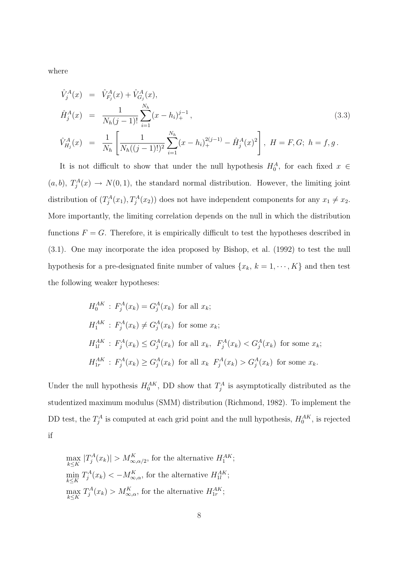where

$$
\hat{V}_{j}^{A}(x) = \hat{V}_{F_{j}}^{A}(x) + \hat{V}_{G_{j}}^{A}(x),
$$
\n
$$
\hat{H}_{j}^{A}(x) = \frac{1}{N_{h}(j-1)!} \sum_{i=1}^{N_{h}} (x - h_{i})_{+}^{j-1},
$$
\n
$$
\hat{V}_{H_{j}}^{A}(x) = \frac{1}{N_{h}} \left[ \frac{1}{N_{h}((j-1)!)^{2}} \sum_{i=1}^{N_{h}} (x - h_{i})_{+}^{2(j-1)} - \hat{H}_{j}^{A}(x)^{2} \right], \quad H = F, G; \quad h = f, g.
$$
\n(3.3)

It is not difficult to show that under the null hypothesis  $H_0^A$ , for each fixed  $x \in$  $(a, b), T_j^A(x) \to N(0, 1)$ , the standard normal distribution. However, the limiting joint distribution of  $(T_j^A(x_1), T_j^A(x_2))$  does not have independent components for any  $x_1 \neq x_2$ . More importantly, the limiting correlation depends on the null in which the distribution functions  $F = G$ . Therefore, it is empirically difficult to test the hypotheses described in (3.1). One may incorporate the idea proposed by Bishop, et al. (1992) to test the null hypothesis for a pre-designated finite number of values  $\{x_k, k = 1, \dots, K\}$  and then test the following weaker hypotheses:

$$
H_0^{AK}: F_j^A(x_k) = G_j^A(x_k) \text{ for all } x_k;
$$
  
\n
$$
H_1^{AK}: F_j^A(x_k) \neq G_j^A(x_k) \text{ for some } x_k;
$$
  
\n
$$
H_{1l}^{AK}: F_j^A(x_k) \leq G_j^A(x_k) \text{ for all } x_k, F_j^A(x_k) < G_j^A(x_k) \text{ for some } x_k;
$$
  
\n
$$
H_{1r}^{AK}: F_j^A(x_k) \geq G_j^A(x_k) \text{ for all } x_k \ F_j^A(x_k) > G_j^A(x_k) \text{ for some } x_k.
$$

Under the null hypothesis  $H_0^{AK}$ , DD show that  $T_j^A$  is asymptotically distributed as the studentized maximum modulus (SMM) distribution (Richmond, 1982). To implement the DD test, the  $T_j^A$  is computed at each grid point and the null hypothesis,  $H_0^{AK}$ , is rejected if

$$
\max_{k \leq K} |T_j^A(x_k)| > M_{\infty, \alpha/2}^K
$$
, for the alternative  $H_1^{AK}$ ;  
\n
$$
\min_{k \leq K} T_j^A(x_k) < -M_{\infty, \alpha}^K
$$
, for the alternative  $H_{1l}^{AK}$ ;  
\n
$$
\max_{k \leq K} T_j^A(x_k) > M_{\infty, \alpha}^K
$$
, for the alternative  $H_{1r}^{AK}$ ;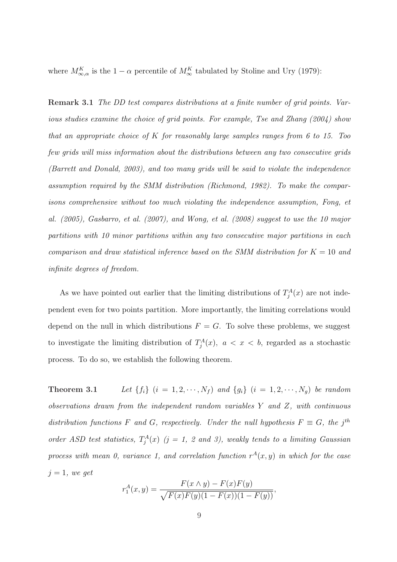where  $M_{\infty,\alpha}^K$  is the  $1-\alpha$  percentile of  $M_{\infty}^K$  tabulated by Stoline and Ury (1979):

Remark 3.1 The DD test compares distributions at a finite number of grid points. Various studies examine the choice of grid points. For example, Tse and Zhang (2004) show that an appropriate choice of  $K$  for reasonably large samples ranges from 6 to 15. Too few grids will miss information about the distributions between any two consecutive grids (Barrett and Donald, 2003), and too many grids will be said to violate the independence assumption required by the SMM distribution (Richmond, 1982). To make the comparisons comprehensive without too much violating the independence assumption, Fong, et al. (2005), Gasbarro, et al. (2007), and Wong, et al. (2008) suggest to use the 10 major partitions with 10 minor partitions within any two consecutive major partitions in each comparison and draw statistical inference based on the SMM distribution for  $K = 10$  and infinite degrees of freedom.

As we have pointed out earlier that the limiting distributions of  $T_j^A(x)$  are not independent even for two points partition. More importantly, the limiting correlations would depend on the null in which distributions  $F = G$ . To solve these problems, we suggest to investigate the limiting distribution of  $T_j^A(x)$ ,  $a < x < b$ , regarded as a stochastic process. To do so, we establish the following theorem.

**Theorem 3.1** Let  $\{f_i\}$   $(i = 1, 2, \dots, N_f)$  and  $\{g_i\}$   $(i = 1, 2, \dots, N_g)$  be random observations drawn from the independent random variables Y and Z, with continuous distribution functions F and G, respectively. Under the null hypothesis  $F \equiv G$ , the j<sup>th</sup> order ASD test statistics,  $T_j^A(x)$  (j = 1, 2 and 3), weakly tends to a limiting Gaussian process with mean 0, variance 1, and correlation function  $r^{A}(x, y)$  in which for the case  $j = 1$ , we get

$$
r_1^A(x,y) = \frac{F(x \wedge y) - F(x)F(y)}{\sqrt{F(x)F(y)(1 - F(x))(1 - F(y))}},
$$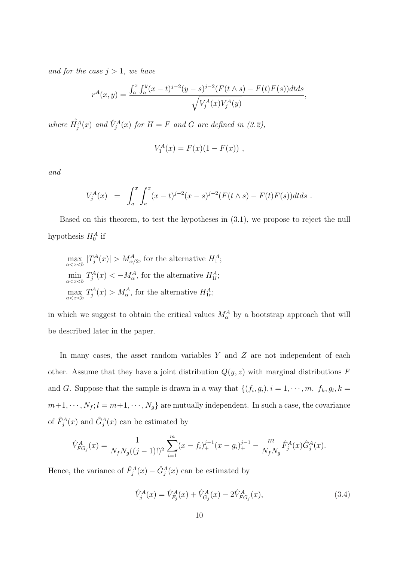and for the case  $j > 1$ , we have

$$
r^{A}(x,y) = \frac{\int_{a}^{x} \int_{a}^{y} (x-t)^{j-2} (y-s)^{j-2} (F(t \wedge s) - F(t)F(s)) dt ds}{\sqrt{V_{j}^{A}(x)V_{j}^{A}(y)}},
$$

where  $\hat{H}^{A}_{j}(x)$  and  $\hat{V}^{A}_{j}(x)$  for  $H = F$  and G are defined in (3.2),

$$
V_1^A(x) = F(x)(1 - F(x)),
$$

and

$$
V_j^A(x) = \int_a^x \int_a^x (x-t)^{j-2} (x-s)^{j-2} (F(t \wedge s) - F(t)F(s)) dt ds.
$$

Based on this theorem, to test the hypotheses in (3.1), we propose to reject the null hypothesis  $H_0^A$  if

$$
\max_{a < x < b} |T_j^A(x)| > M_{\alpha/2}^A
$$
, for the alternative  $H_1^A$ ;  
\n
$$
\min_{a < x < b} T_j^A(x) < -M_{\alpha}^A
$$
, for the alternative  $H_{1l}^A$ ;  
\n
$$
\max_{a < x < b} T_j^A(x) > M_{\alpha}^A
$$
, for the alternative  $H_{1r}^A$ ;

in which we suggest to obtain the critical values  $M_{\alpha}^{A}$  by a bootstrap approach that will be described later in the paper.

In many cases, the asset random variables  $Y$  and  $Z$  are not independent of each other. Assume that they have a joint distribution  $Q(y, z)$  with marginal distributions  $F$ and G. Suppose that the sample is drawn in a way that  $\{(f_i, g_i), i = 1, \dots, m, f_k, g_l, k =$  $m+1, \dots, N_f; l = m+1, \dots, N_g$  are mutually independent. In such a case, the covariance of  $\hat{F}_j^A(x)$  and  $\hat{G}_j^A(x)$  can be estimated by

$$
\hat{V}_{FG_j}^A(x) = \frac{1}{N_f N_g((j-1)!)^2} \sum_{i=1}^m (x - f_i)_+^{j-1} (x - g_i)_+^{j-1} - \frac{m}{N_f N_g} \hat{F}_j^A(x) \hat{G}_j^A(x).
$$

Hence, the variance of  $\hat{F}_j^A(x) - \hat{G}_j^A(x)$  can be estimated by

$$
\hat{V}_j^A(x) = \hat{V}_{F_j}^A(x) + \hat{V}_{G_j}^A(x) - 2\hat{V}_{FG_j}^A(x),\tag{3.4}
$$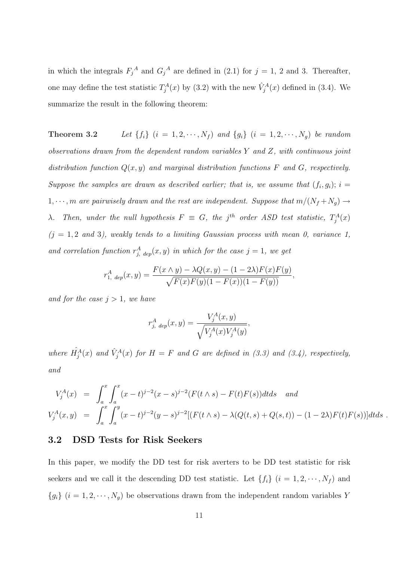in which the integrals  $F_j^A$  and  $G_j^A$  are defined in (2.1) for  $j = 1, 2$  and 3. Thereafter, one may define the test statistic  $T_j^A(x)$  by (3.2) with the new  $\hat{V}_j^A(x)$  defined in (3.4). We summarize the result in the following theorem:

**Theorem 3.2** Let  $\{f_i\}$   $(i = 1, 2, \dots, N_f)$  and  $\{g_i\}$   $(i = 1, 2, \dots, N_g)$  be random observations drawn from the dependent random variables Y and Z, with continuous joint distribution function  $Q(x, y)$  and marginal distribution functions F and G, respectively. Suppose the samples are drawn as described earlier; that is, we assume that  $(f_i, g_i)$ ;  $i =$  $1, \dots, m$  are pairwisely drawn and the rest are independent. Suppose that  $m/(N_f + N_g) \rightarrow$  $\lambda$ . Then, under the null hypothesis  $F \equiv G$ , the j<sup>th</sup> order ASD test statistic,  $T_j^A(x)$  $(j = 1, 2 \text{ and } 3)$ , weakly tends to a limiting Gaussian process with mean 0, variance 1, and correlation function  $r_{j, \text{dep}}^A(x, y)$  in which for the case  $j = 1$ , we get

$$
r_{1, \text{ dep}}^{A}(x, y) = \frac{F(x \wedge y) - \lambda Q(x, y) - (1 - 2\lambda)F(x)F(y)}{\sqrt{F(x)F(y)(1 - F(x))(1 - F(y))}},
$$

and for the case  $j > 1$ , we have

$$
r_{j, \text{ dep}}^{A}(x, y) = \frac{V_{j}^{A}(x, y)}{\sqrt{V_{j}^{A}(x)V_{j}^{A}(y)}},
$$

where  $\hat{H}^{A}_{j}(x)$  and  $\hat{V}^{A}_{j}(x)$  for  $H = F$  and G are defined in (3.3) and (3.4), respectively, and

$$
V_j^A(x) = \int_a^x \int_a^x (x-t)^{j-2} (x-s)^{j-2} (F(t \wedge s) - F(t)F(s)) dt ds \text{ and}
$$
  
\n
$$
V_j^A(x,y) = \int_a^x \int_a^y (x-t)^{j-2} (y-s)^{j-2} [(F(t \wedge s) - \lambda (Q(t,s) + Q(s,t)) - (1-2\lambda)F(t)F(s))] dt ds.
$$

#### 3.2 DSD Tests for Risk Seekers

In this paper, we modify the DD test for risk averters to be DD test statistic for risk seekers and we call it the descending DD test statistic. Let  $\{f_i\}$   $(i = 1, 2, \dots, N_f)$  and  ${g_i}$   $(i = 1, 2, \cdots, N_g)$  be observations drawn from the independent random variables Y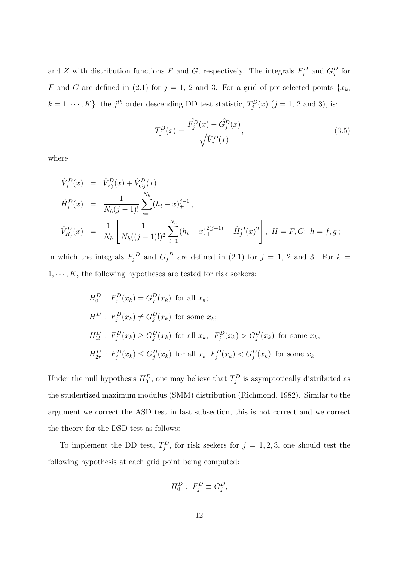and Z with distribution functions F and G, respectively. The integrals  $F_j^D$  and  $G_j^D$  for F and G are defined in (2.1) for  $j = 1, 2$  and 3. For a grid of pre-selected points  ${x_k}$ ,  $k = 1, \dots, K$ , the j<sup>th</sup> order descending DD test statistic,  $T_j^D(x)$  (j = 1, 2 and 3), is:

$$
T_j^D(x) = \frac{\hat{F}_j^D(x) - \hat{G}_j^D(x)}{\sqrt{\hat{V}_j^D(x)}},\tag{3.5}
$$

where

$$
\hat{V}_j^D(x) = \hat{V}_{F_j}^D(x) + \hat{V}_{G_j}^D(x),
$$
\n
$$
\hat{H}_j^D(x) = \frac{1}{N_h(j-1)!} \sum_{i=1}^{N_h} (h_i - x)_{+}^{j-1},
$$
\n
$$
\hat{V}_{H_j}^D(x) = \frac{1}{N_h} \left[ \frac{1}{N_h((j-1)!)^2} \sum_{i=1}^{N_h} (h_i - x)_{+}^{2(j-1)} - \hat{H}_j^D(x)^2 \right], \ H = F, G; \ h = f, g;
$$

in which the integrals  $F_j^D$  and  $G_j^D$  are defined in (2.1) for  $j = 1, 2$  and 3. For  $k =$  $1, \dots, K$ , the following hypotheses are tested for risk seekers:

$$
H_0^D: F_j^D(x_k) = G_j^D(x_k) \text{ for all } x_k;
$$
  
\n
$$
H_1^D: F_j^D(x_k) \neq G_j^D(x_k) \text{ for some } x_k;
$$
  
\n
$$
H_{1l}^D: F_j^D(x_k) \geq G_j^D(x_k) \text{ for all } x_k, F_j^D(x_k) > G_j^D(x_k) \text{ for some } x_k;
$$
  
\n
$$
H_{2r}^D: F_j^D(x_k) \leq G_j^D(x_k) \text{ for all } x_k \ F_j^D(x_k) < G_j^D(x_k) \text{ for some } x_k.
$$

Under the null hypothesis  $H_0^D$ , one may believe that  $T_j^D$  is asymptotically distributed as the studentized maximum modulus (SMM) distribution (Richmond, 1982). Similar to the argument we correct the ASD test in last subsection, this is not correct and we correct the theory for the DSD test as follows:

To implement the DD test,  $T_j^D$ , for risk seekers for  $j = 1, 2, 3$ , one should test the following hypothesis at each grid point being computed:

$$
H_0^D: F_j^D \equiv G_j^D,
$$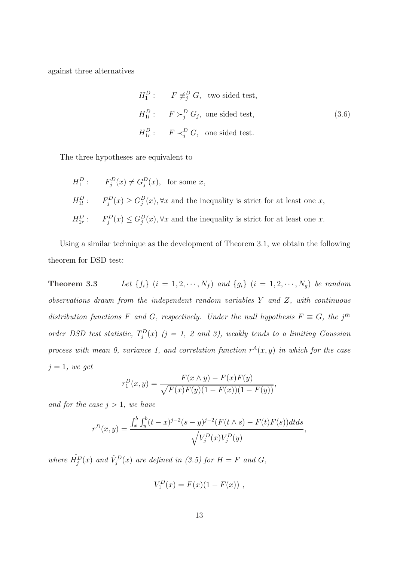against three alternatives

$$
H_1^D: \tF \not\equiv_j^D G, \t two \t sidet \t test,
$$
  

$$
H_{1l}^D: \tF \succ_j^D G_j, \t one \t sidet \t test,
$$
  

$$
H_{1r}^D: \tF \prec_j^D G, \t one \t sidet \t test.
$$
  
(3.6)

The three hypotheses are equivalent to

$$
H_1^D: \tF_j^D(x) \neq G_j^D(x), \tfor some x,
$$
  
\n
$$
H_{1l}^D: \tF_j^D(x) \geq G_j^D(x), \forall x \text{ and the inequality is strict for at least one } x,
$$
  
\n
$$
H_{1r}^D: \tF_j^D(x) \leq G_j^D(x), \forall x \text{ and the inequality is strict for at least one } x.
$$

Using a similar technique as the development of Theorem 3.1, we obtain the following theorem for DSD test:

**Theorem 3.3** Let  $\{f_i\}$   $(i = 1, 2, \dots, N_f)$  and  $\{g_i\}$   $(i = 1, 2, \dots, N_g)$  be random observations drawn from the independent random variables Y and Z, with continuous distribution functions F and G, respectively. Under the null hypothesis  $F \equiv G$ , the j<sup>th</sup> order DSD test statistic,  $T_j^D(x)$  (j = 1, 2 and 3), weakly tends to a limiting Gaussian process with mean 0, variance 1, and correlation function  $r^{A}(x, y)$  in which for the case  $j = 1$ , we get

$$
r_1^D(x,y) = \frac{F(x \wedge y) - F(x)F(y)}{\sqrt{F(x)F(y)(1 - F(x))(1 - F(y))}},
$$

and for the case  $j > 1$ , we have

$$
r^{D}(x,y) = \frac{\int_{x}^{b} \int_{y}^{b} (t-x)^{j-2} (s-y)^{j-2} (F(t \wedge s) - F(t)F(s)) dt ds}{\sqrt{V_{j}^{D}(x) V_{j}^{D}(y)}},
$$

where  $\hat{H}^D_j(x)$  and  $\hat{V}^D_j(x)$  are defined in (3.5) for  $H = F$  and  $G$ ,

$$
V_1^D(x) = F(x)(1 - F(x)),
$$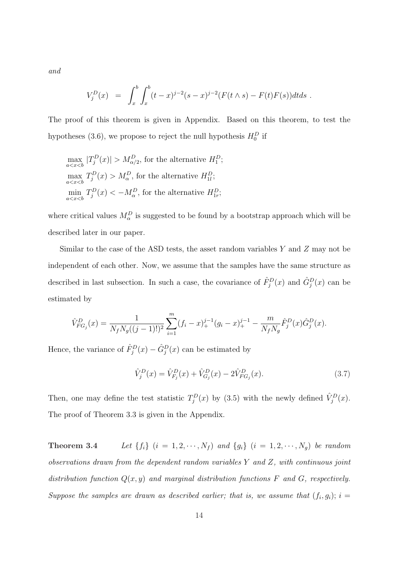and

$$
V_j^D(x) = \int_x^b \int_x^b (t-x)^{j-2} (s-x)^{j-2} (F(t \wedge s) - F(t)F(s)) dt ds.
$$

The proof of this theorem is given in Appendix. Based on this theorem, to test the hypotheses (3.6), we propose to reject the null hypothesis  $H_0^D$  if

$$
\max_{a < x < b} |T_j^D(x)| > M_{\alpha/2}^D \text{, for the alternative } H_1^D;
$$
\n
$$
\max_{a < x < b} T_j^D(x) > M_{\alpha}^D \text{, for the alternative } H_{1l}^D;
$$
\n
$$
\min_{a < x < b} T_j^D(x) < -M_{\alpha}^D \text{, for the alternative } H_{1r}^D;
$$

where critical values  $M_{\alpha}^{D}$  is suggested to be found by a bootstrap approach which will be described later in our paper.

Similar to the case of the ASD tests, the asset random variables  $Y$  and  $Z$  may not be independent of each other. Now, we assume that the samples have the same structure as described in last subsection. In such a case, the covariance of  $\hat{F}_j^D(x)$  and  $\hat{G}_j^D(x)$  can be estimated by

$$
\hat{V}_{FG_j}^D(x) = \frac{1}{N_f N_g ((j-1)!)^2} \sum_{i=1}^m (f_i - x)_+^{j-1} (g_i - x)_+^{j-1} - \frac{m}{N_f N_g} \hat{F}_j^D(x) \hat{G}_j^D(x).
$$

Hence, the variance of  $\hat{F}_j^D(x) - \hat{G}_j^D(x)$  can be estimated by

$$
\hat{V}_j^D(x) = \hat{V}_{F_j}^D(x) + \hat{V}_{G_j}^D(x) - 2\hat{V}_{FG_j}^D(x). \tag{3.7}
$$

Then, one may define the test statistic  $T_j^D(x)$  by (3.5) with the newly defined  $\hat{V}_j^D(x)$ . The proof of Theorem 3.3 is given in the Appendix.

**Theorem 3.4** Let  $\{f_i\}$   $(i = 1, 2, \dots, N_f)$  and  $\{g_i\}$   $(i = 1, 2, \dots, N_g)$  be random observations drawn from the dependent random variables Y and Z, with continuous joint distribution function  $Q(x, y)$  and marginal distribution functions F and G, respectively. Suppose the samples are drawn as described earlier; that is, we assume that  $(f_i, g_i)$ ;  $i =$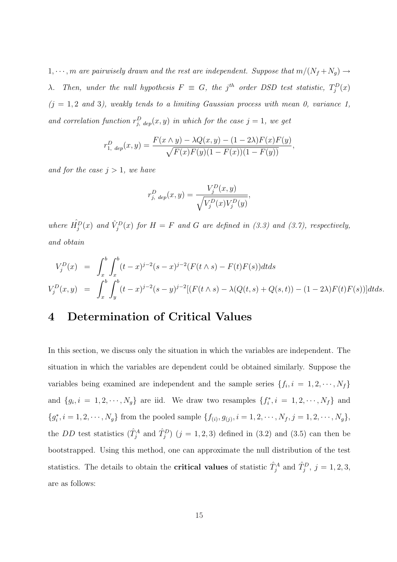1,  $\cdots$ , m are pairwisely drawn and the rest are independent. Suppose that  $m/(N_f+N_g) \rightarrow$  $\lambda$ . Then, under the null hypothesis  $F \equiv G$ , the j<sup>th</sup> order DSD test statistic,  $T_j^D(x)$  $(j = 1, 2 \text{ and } 3)$ , weakly tends to a limiting Gaussian process with mean 0, variance 1, and correlation function  $r_{j, \text{dep}}^D(x, y)$  in which for the case  $j = 1$ , we get

$$
r_{1, \text{dep}}^D(x, y) = \frac{F(x \wedge y) - \lambda Q(x, y) - (1 - 2\lambda)F(x)F(y)}{\sqrt{F(x)F(y)(1 - F(x))(1 - F(y))}},
$$

and for the case  $j > 1$ , we have

$$
r_{j, \text{dep}}^{D}(x, y) = \frac{V_{j}^{D}(x, y)}{\sqrt{V_{j}^{D}(x)V_{j}^{D}(y)}},
$$

where  $\hat{H}_j^D(x)$  and  $\hat{V}_j^D(x)$  for  $H = F$  and G are defined in (3.3) and (3.7), respectively, and obtain

$$
V_j^D(x) = \int_x^b \int_x^b (t-x)^{j-2}(s-x)^{j-2}(F(t \wedge s) - F(t)F(s))dtds
$$
  
\n
$$
V_j^D(x,y) = \int_x^b \int_y^b (t-x)^{j-2}(s-y)^{j-2}[(F(t \wedge s) - \lambda(Q(t,s) + Q(s,t)) - (1-2\lambda)F(t)F(s))]dtds.
$$

## 4 Determination of Critical Values

In this section, we discuss only the situation in which the variables are independent. The situation in which the variables are dependent could be obtained similarly. Suppose the variables being examined are independent and the sample series  $\{f_i, i = 1, 2, \cdots, N_f\}$ and  $\{g_i, i = 1, 2, \dots, N_g\}$  are iid. We draw two resamples  $\{f_i^*, i = 1, 2, \dots, N_f\}$  and  ${g_i^*, i = 1, 2, \cdots, N_g}$  from the pooled sample  ${f_{(i), g_{(j)}, i = 1, 2, \cdots, N_f, j = 1, 2, \cdots, N_g}}$ the DD test statistics  $(\hat{T}_j^A$  and  $\hat{T}_j^D$   $(j = 1, 2, 3)$  defined in (3.2) and (3.5) can then be bootstrapped. Using this method, one can approximate the null distribution of the test statistics. The details to obtain the **critical values** of statistic  $\hat{T}_j^A$  and  $\hat{T}_j^D$ ,  $j = 1, 2, 3$ , are as follows: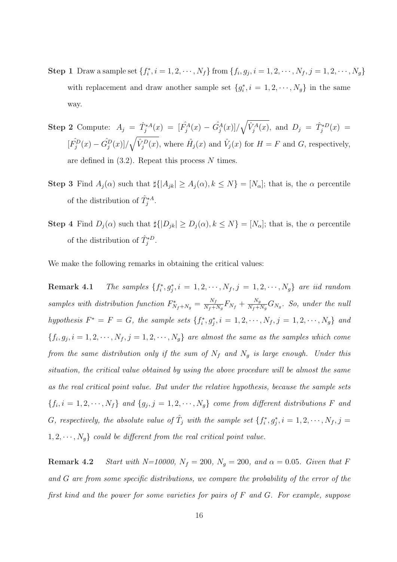- **Step 1** Draw a sample set  $\{f_i^*, i = 1, 2, \dots, N_f\}$  from  $\{f_i, g_j, i = 1, 2, \dots, N_f, j = 1, 2, \dots, N_g\}$ with replacement and draw another sample set  $\{g_i^*, i = 1, 2, \dots, N_g\}$  in the same way.
- Step 2 Compute:  $A_j = \hat{T}_j^{*A}(x) = [\hat{F}_j^{A}(x) \hat{G}_j^{A}(x)]$ /  $\sim$  $\hat{V}_j^A(x)$ , and  $D_j = \hat{T}_j^{*D}(x) =$  $[\hat{Fj^{D}}(x) - \hat{Gj^{D}}(x)]$ /  $\mathcal{L}_{\mathcal{A}}$  $\hat{V}_j^D(x)$ , where  $\hat{H}_j(x)$  and  $\hat{V}_j(x)$  for  $H = F$  and  $G$ , respectively, are defined in  $(3.2)$ . Repeat this process N times.
- Step 3 Find  $A_j(\alpha)$  such that  $\sharp\{|A_{jk}|\geq A_j(\alpha), k\leq N\}=[N_\alpha]$ ; that is, the  $\alpha$  percentile of the distribution of  $\hat{T}_j^{*A}$ .
- Step 4 Find  $D_j(\alpha)$  such that  $\sharp\{|D_{jk}|\geq D_j(\alpha), k\leq N\}=[N_\alpha]$ ; that is, the  $\alpha$  percentile of the distribution of  $\hat{T}_j^{*D}$ .

We make the following remarks in obtaining the critical values:

**Remark 4.1** The samples  $\{f_i^*, g_j^*, i = 1, 2, \cdots, N_f, j = 1, 2, \cdots, N_g\}$  are iid random samples with distribution function  $F_{N_f+N_g}^* = \frac{N_f}{N_f+N_g}$  $\frac{N_f}{N_f+N_g}F_{N_f}+\frac{N_g}{N_f+1}$  $\frac{N_g}{N_f+N_g}G_{N_g}.$  So, under the null hypothesis  $F^* = F = G$ , the sample sets  $\{f_i^*, g_j^*, i = 1, 2, \cdots, N_f, j = 1, 2, \cdots, N_g\}$  and  $\{f_i, g_j, i = 1, 2, \cdots, N_f, j = 1, 2, \cdots, N_g\}$  are almost the same as the samples which come from the same distribution only if the sum of  $N_f$  and  $N_g$  is large enough. Under this situation, the critical value obtained by using the above procedure will be almost the same as the real critical point value. But under the relative hypothesis, because the sample sets  $\{f_i, i = 1, 2, \cdots, N_f\}$  and  $\{g_j, j = 1, 2, \cdots, N_g\}$  come from different distributions F and G, respectively, the absolute value of  $\hat{T}_j$  with the sample set  $\{f_i^*, g_j^*, i = 1, 2, \cdots, N_f, j = 1\}$  $1, 2, \dots, N_g$  could be different from the real critical point value.

**Remark 4.2** Start with N=10000,  $N_f = 200$ ,  $N_g = 200$ , and  $\alpha = 0.05$ . Given that F and G are from some specific distributions, we compare the probability of the error of the first kind and the power for some varieties for pairs of F and G. For example, suppose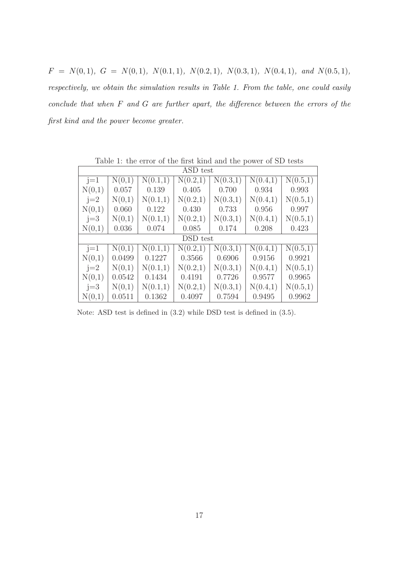$F = N(0, 1), G = N(0, 1), N(0.1, 1), N(0.2, 1), N(0.3, 1), N(0.4, 1), and N(0.5, 1),$ respectively, we obtain the simulation results in Table 1. From the table, one could easily conclude that when F and G are further apart, the difference between the errors of the first kind and the power become greater.

| ASD test |        |          |          |          |          |                       |
|----------|--------|----------|----------|----------|----------|-----------------------|
| $j=1$    | N(0,1) | N(0.1,1) | N(0.2,1) | N(0.3,1) | N(0.4,1) | $\overline{N}(0.5,1)$ |
| N(0,1)   | 0.057  | 0.139    | 0.405    | 0.700    | 0.934    | 0.993                 |
| $j=2$    | N(0,1) | N(0.1,1) | N(0.2,1) | N(0.3,1) | N(0.4,1) | N(0.5,1)              |
| N(0,1)   | 0.060  | 0.122    | 0.430    | 0.733    | 0.956    | 0.997                 |
| $j=3$    | N(0,1) | N(0.1,1) | N(0.2,1) | N(0.3,1) | N(0.4,1) | N(0.5,1)              |
| N(0,1)   | 0.036  | 0.074    | 0.085    | 0.174    | 0.208    | 0.423                 |
| DSD test |        |          |          |          |          |                       |
| $j=1$    | N(0,1) | N(0.1,1) | N(0.2,1) | N(0.3,1) | N(0.4,1) | N(0.5,1)              |
| N(0,1)   | 0.0499 | 0.1227   | 0.3566   | 0.6906   | 0.9156   | 0.9921                |
| $j=2$    | N(0,1) | N(0.1,1) | N(0.2,1) | N(0.3,1) | N(0.4,1) | N(0.5,1)              |
| N(0,1)   | 0.0542 | 0.1434   | 0.4191   | 0.7726   | 0.9577   | 0.9965                |
| $j=3$    | N(0,1) | N(0.1,1) | N(0.2,1) | N(0.3,1) | N(0.4,1) | N(0.5,1)              |
| N(0,1)   | 0.0511 | 0.1362   | 0.4097   | 0.7594   | 0.9495   | 0.9962                |

Table 1: the error of the first kind and the power of SD tests

Note: ASD test is defined in (3.2) while DSD test is defined in (3.5).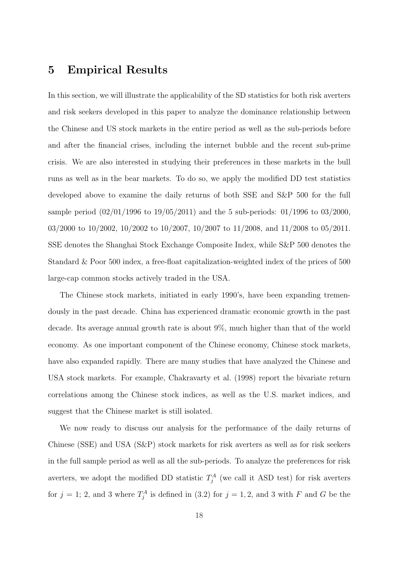## 5 Empirical Results

In this section, we will illustrate the applicability of the SD statistics for both risk averters and risk seekers developed in this paper to analyze the dominance relationship between the Chinese and US stock markets in the entire period as well as the sub-periods before and after the financial crises, including the internet bubble and the recent sub-prime crisis. We are also interested in studying their preferences in these markets in the bull runs as well as in the bear markets. To do so, we apply the modified DD test statistics developed above to examine the daily returns of both SSE and S&P 500 for the full sample period (02/01/1996 to 19/05/2011) and the 5 sub-periods: 01/1996 to 03/2000, 03/2000 to 10/2002, 10/2002 to 10/2007, 10/2007 to 11/2008, and 11/2008 to 05/2011. SSE denotes the Shanghai Stock Exchange Composite Index, while S&P 500 denotes the Standard & Poor 500 index, a free-float capitalization-weighted index of the prices of 500 large-cap common stocks actively traded in the USA.

The Chinese stock markets, initiated in early 1990's, have been expanding tremendously in the past decade. China has experienced dramatic economic growth in the past decade. Its average annual growth rate is about 9%, much higher than that of the world economy. As one important component of the Chinese economy, Chinese stock markets, have also expanded rapidly. There are many studies that have analyzed the Chinese and USA stock markets. For example, Chakravarty et al. (1998) report the bivariate return correlations among the Chinese stock indices, as well as the U.S. market indices, and suggest that the Chinese market is still isolated.

We now ready to discuss our analysis for the performance of the daily returns of Chinese (SSE) and USA (S&P) stock markets for risk averters as well as for risk seekers in the full sample period as well as all the sub-periods. To analyze the preferences for risk averters, we adopt the modified DD statistic  $T_j^A$  (we call it ASD test) for risk averters for  $j = 1$ ; 2, and 3 where  $T_j^A$  is defined in (3.2) for  $j = 1, 2$ , and 3 with F and G be the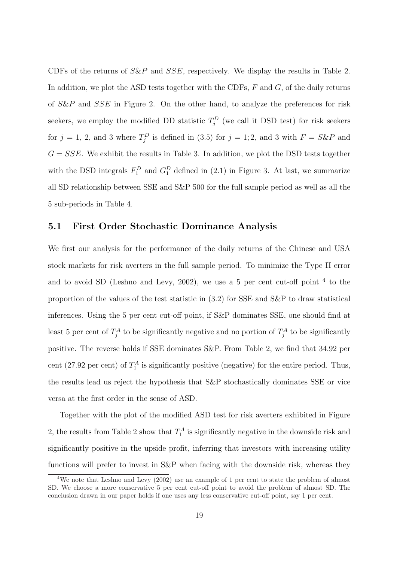CDFs of the returns of  $S\&P$  and  $SSE$ , respectively. We display the results in Table 2. In addition, we plot the ASD tests together with the CDFs,  $F$  and  $G$ , of the daily returns of S&P and SSE in Figure 2. On the other hand, to analyze the preferences for risk seekers, we employ the modified DD statistic  $T_j^D$  (we call it DSD test) for risk seekers for  $j = 1, 2$ , and 3 where  $T_j^D$  is defined in (3.5) for  $j = 1, 2$ , and 3 with  $F = S\&P$  and  $G = SSE$ . We exhibit the results in Table 3. In addition, we plot the DSD tests together with the DSD integrals  $F_1^D$  and  $G_1^D$  defined in (2.1) in Figure 3. At last, we summarize all SD relationship between SSE and S&P 500 for the full sample period as well as all the 5 sub-periods in Table 4.

#### 5.1 First Order Stochastic Dominance Analysis

We first our analysis for the performance of the daily returns of the Chinese and USA stock markets for risk averters in the full sample period. To minimize the Type II error and to avoid SD (Leshno and Levy, 2002), we use a 5 per cent cut-off point  $4$  to the proportion of the values of the test statistic in (3.2) for SSE and S&P to draw statistical inferences. Using the 5 per cent cut-off point, if S&P dominates SSE, one should find at least 5 per cent of  $T_j^A$  to be significantly negative and no portion of  $T_j^A$  to be significantly positive. The reverse holds if SSE dominates S&P. From Table 2, we find that 34.92 per cent (27.92 per cent) of  $T_1^A$  is significantly positive (negative) for the entire period. Thus, the results lead us reject the hypothesis that S&P stochastically dominates SSE or vice versa at the first order in the sense of ASD.

Together with the plot of the modified ASD test for risk averters exhibited in Figure 2, the results from Table 2 show that  $T_1^A$  is significantly negative in the downside risk and significantly positive in the upside profit, inferring that investors with increasing utility functions will prefer to invest in S&P when facing with the downside risk, whereas they

<sup>&</sup>lt;sup>4</sup>We note that Leshno and Levy (2002) use an example of 1 per cent to state the problem of almost SD. We choose a more conservative 5 per cent cut-off point to avoid the problem of almost SD. The conclusion drawn in our paper holds if one uses any less conservative cut-off point, say 1 per cent.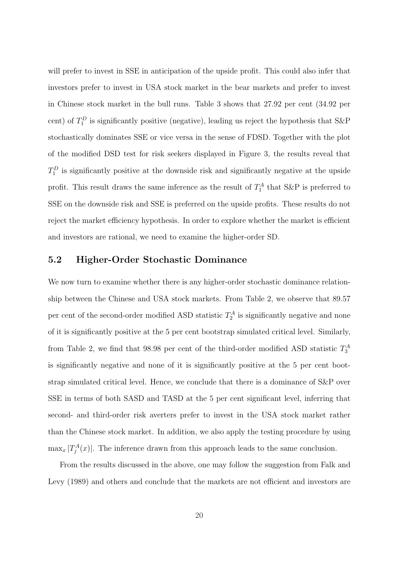will prefer to invest in SSE in anticipation of the upside profit. This could also infer that investors prefer to invest in USA stock market in the bear markets and prefer to invest in Chinese stock market in the bull runs. Table 3 shows that 27.92 per cent (34.92 per cent) of  $T_1^D$  is significantly positive (negative), leading us reject the hypothesis that S&P stochastically dominates SSE or vice versa in the sense of FDSD. Together with the plot of the modified DSD test for risk seekers displayed in Figure 3, the results reveal that  $T_1^D$  is significantly positive at the downside risk and significantly negative at the upside profit. This result draws the same inference as the result of  $T_1^A$  that S&P is preferred to SSE on the downside risk and SSE is preferred on the upside profits. These results do not reject the market efficiency hypothesis. In order to explore whether the market is efficient and investors are rational, we need to examine the higher-order SD.

#### 5.2 Higher-Order Stochastic Dominance

We now turn to examine whether there is any higher-order stochastic dominance relationship between the Chinese and USA stock markets. From Table 2, we observe that 89.57 per cent of the second-order modified ASD statistic  $T_2^A$  is significantly negative and none of it is significantly positive at the 5 per cent bootstrap simulated critical level. Similarly, from Table 2, we find that 98.98 per cent of the third-order modified ASD statistic  $T_3^A$ is significantly negative and none of it is significantly positive at the 5 per cent bootstrap simulated critical level. Hence, we conclude that there is a dominance of S&P over SSE in terms of both SASD and TASD at the 5 per cent significant level, inferring that second- and third-order risk averters prefer to invest in the USA stock market rather than the Chinese stock market. In addition, we also apply the testing procedure by using  $\max_x |T_j^A(x)|$ . The inference drawn from this approach leads to the same conclusion.

From the results discussed in the above, one may follow the suggestion from Falk and Levy (1989) and others and conclude that the markets are not efficient and investors are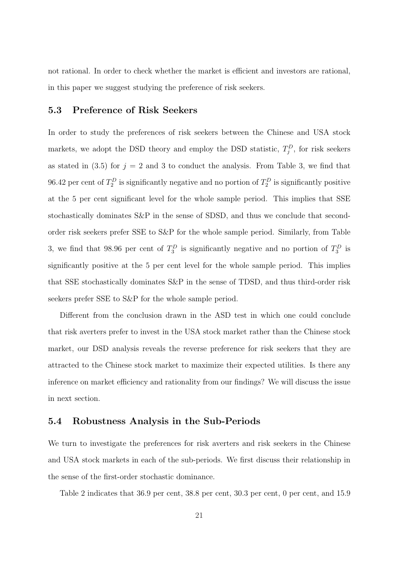not rational. In order to check whether the market is efficient and investors are rational, in this paper we suggest studying the preference of risk seekers.

#### 5.3 Preference of Risk Seekers

In order to study the preferences of risk seekers between the Chinese and USA stock markets, we adopt the DSD theory and employ the DSD statistic,  $T_j^D$ , for risk seekers as stated in  $(3.5)$  for  $j = 2$  and 3 to conduct the analysis. From Table 3, we find that 96.42 per cent of  $T_2^D$  is significantly negative and no portion of  $T_2^D$  is significantly positive at the 5 per cent significant level for the whole sample period. This implies that SSE stochastically dominates S&P in the sense of SDSD, and thus we conclude that secondorder risk seekers prefer SSE to S&P for the whole sample period. Similarly, from Table 3, we find that 98.96 per cent of  $T_3^D$  is significantly negative and no portion of  $T_3^D$  is significantly positive at the 5 per cent level for the whole sample period. This implies that SSE stochastically dominates S&P in the sense of TDSD, and thus third-order risk seekers prefer SSE to S&P for the whole sample period.

Different from the conclusion drawn in the ASD test in which one could conclude that risk averters prefer to invest in the USA stock market rather than the Chinese stock market, our DSD analysis reveals the reverse preference for risk seekers that they are attracted to the Chinese stock market to maximize their expected utilities. Is there any inference on market efficiency and rationality from our findings? We will discuss the issue in next section.

#### 5.4 Robustness Analysis in the Sub-Periods

We turn to investigate the preferences for risk averters and risk seekers in the Chinese and USA stock markets in each of the sub-periods. We first discuss their relationship in the sense of the first-order stochastic dominance.

Table 2 indicates that 36.9 per cent, 38.8 per cent, 30.3 per cent, 0 per cent, and 15.9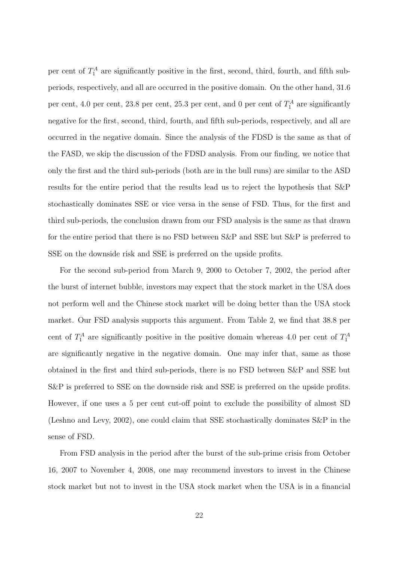per cent of  $T_1^A$  are significantly positive in the first, second, third, fourth, and fifth subperiods, respectively, and all are occurred in the positive domain. On the other hand, 31.6 per cent, 4.0 per cent, 23.8 per cent, 25.3 per cent, and 0 per cent of  $T_1^A$  are significantly negative for the first, second, third, fourth, and fifth sub-periods, respectively, and all are occurred in the negative domain. Since the analysis of the FDSD is the same as that of the FASD, we skip the discussion of the FDSD analysis. From our finding, we notice that only the first and the third sub-periods (both are in the bull runs) are similar to the ASD results for the entire period that the results lead us to reject the hypothesis that S&P stochastically dominates SSE or vice versa in the sense of FSD. Thus, for the first and third sub-periods, the conclusion drawn from our FSD analysis is the same as that drawn for the entire period that there is no FSD between S&P and SSE but S&P is preferred to SSE on the downside risk and SSE is preferred on the upside profits.

For the second sub-period from March 9, 2000 to October 7, 2002, the period after the burst of internet bubble, investors may expect that the stock market in the USA does not perform well and the Chinese stock market will be doing better than the USA stock market. Our FSD analysis supports this argument. From Table 2, we find that 38.8 per cent of  $T_1^A$  are significantly positive in the positive domain whereas 4.0 per cent of  $T_1^A$ are significantly negative in the negative domain. One may infer that, same as those obtained in the first and third sub-periods, there is no FSD between S&P and SSE but S&P is preferred to SSE on the downside risk and SSE is preferred on the upside profits. However, if one uses a 5 per cent cut-off point to exclude the possibility of almost SD (Leshno and Levy, 2002), one could claim that SSE stochastically dominates S&P in the sense of FSD.

From FSD analysis in the period after the burst of the sub-prime crisis from October 16, 2007 to November 4, 2008, one may recommend investors to invest in the Chinese stock market but not to invest in the USA stock market when the USA is in a financial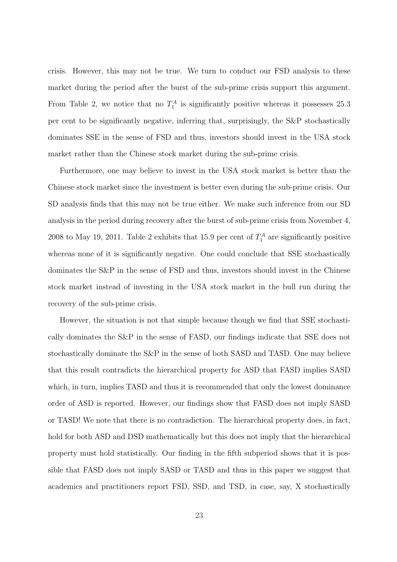crisis. However, this may not be true. We turn to conduct our FSD analysis to these market during the period after the burst of the sub-prime crisis support this argument. From Table 2, we notice that no  $T_1^A$  is significantly positive whereas it possesses 25.3 per cent to be significantly negative, inferring that, surprisingly, the S&P stochastically dominates SSE in the sense of FSD and thus, investors should invest in the USA stock market rather than the Chinese stock market during the sub-prime crisis.

Furthermore, one may believe to invest in the USA stock market is better than the Chinese stock market since the investment is better even during the sub-prime crisis. Our SD analysis finds that this may not be true either. We make such inference from our SD analysis in the period during recovery after the burst of sub-prime crisis from November 4, 2008 to May 19, 2011. Table 2 exhibits that 15.9 per cent of  $T_1^A$  are significantly positive whereas none of it is significantly negative. One could conclude that SSE stochastically dominates the S&P in the sense of FSD and thus, investors should invest in the Chinese stock market instead of investing in the USA stock market in the bull run during the recovery of the sub-prime crisis.

However, the situation is not that simple because though we find that SSE stochastically dominates the S&P in the sense of FASD, our findings indicate that SSE does not stochastically dominate the S&P in the sense of both SASD and TASD. One may believe that this result contradicts the hierarchical property for ASD that FASD implies SASD which, in turn, implies TASD and thus it is recommended that only the lowest dominance order of ASD is reported. However, our findings show that FASD does not imply SASD or TASD! We note that there is no contradiction. The hierarchical property does, in fact, hold for both ASD and DSD mathematically but this does not imply that the hierarchical property must hold statistically. Our finding in the fifth subperiod shows that it is possible that FASD does not imply SASD or TASD and thus in this paper we suggest that academics and practitioners report FSD, SSD, and TSD, in case, say, X stochastically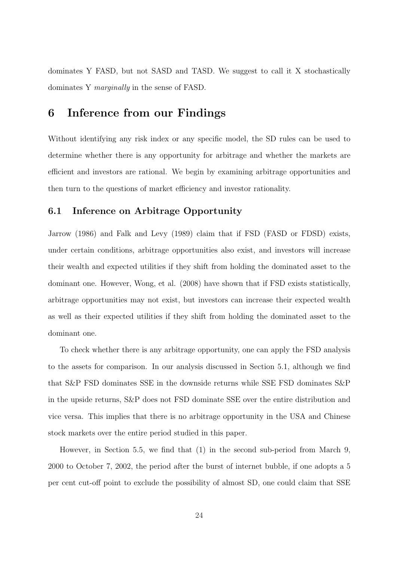dominates Y FASD, but not SASD and TASD. We suggest to call it X stochastically dominates Y marginally in the sense of FASD.

### 6 Inference from our Findings

Without identifying any risk index or any specific model, the SD rules can be used to determine whether there is any opportunity for arbitrage and whether the markets are efficient and investors are rational. We begin by examining arbitrage opportunities and then turn to the questions of market efficiency and investor rationality.

#### 6.1 Inference on Arbitrage Opportunity

Jarrow (1986) and Falk and Levy (1989) claim that if FSD (FASD or FDSD) exists, under certain conditions, arbitrage opportunities also exist, and investors will increase their wealth and expected utilities if they shift from holding the dominated asset to the dominant one. However, Wong, et al. (2008) have shown that if FSD exists statistically, arbitrage opportunities may not exist, but investors can increase their expected wealth as well as their expected utilities if they shift from holding the dominated asset to the dominant one.

To check whether there is any arbitrage opportunity, one can apply the FSD analysis to the assets for comparison. In our analysis discussed in Section 5.1, although we find that S&P FSD dominates SSE in the downside returns while SSE FSD dominates S&P in the upside returns, S&P does not FSD dominate SSE over the entire distribution and vice versa. This implies that there is no arbitrage opportunity in the USA and Chinese stock markets over the entire period studied in this paper.

However, in Section 5.5, we find that (1) in the second sub-period from March 9, 2000 to October 7, 2002, the period after the burst of internet bubble, if one adopts a 5 per cent cut-off point to exclude the possibility of almost SD, one could claim that SSE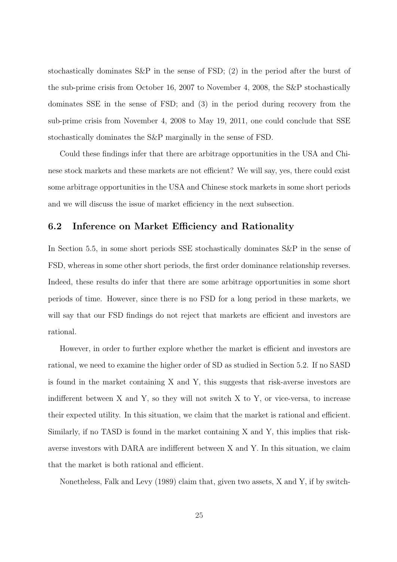stochastically dominates S&P in the sense of FSD; (2) in the period after the burst of the sub-prime crisis from October 16, 2007 to November 4, 2008, the S&P stochastically dominates SSE in the sense of FSD; and (3) in the period during recovery from the sub-prime crisis from November 4, 2008 to May 19, 2011, one could conclude that SSE stochastically dominates the S&P marginally in the sense of FSD.

Could these findings infer that there are arbitrage opportunities in the USA and Chinese stock markets and these markets are not efficient? We will say, yes, there could exist some arbitrage opportunities in the USA and Chinese stock markets in some short periods and we will discuss the issue of market efficiency in the next subsection.

#### 6.2 Inference on Market Efficiency and Rationality

In Section 5.5, in some short periods SSE stochastically dominates S&P in the sense of FSD, whereas in some other short periods, the first order dominance relationship reverses. Indeed, these results do infer that there are some arbitrage opportunities in some short periods of time. However, since there is no FSD for a long period in these markets, we will say that our FSD findings do not reject that markets are efficient and investors are rational.

However, in order to further explore whether the market is efficient and investors are rational, we need to examine the higher order of SD as studied in Section 5.2. If no SASD is found in the market containing X and Y, this suggests that risk-averse investors are indifferent between  $X$  and  $Y$ , so they will not switch  $X$  to  $Y$ , or vice-versa, to increase their expected utility. In this situation, we claim that the market is rational and efficient. Similarly, if no TASD is found in the market containing X and Y, this implies that riskaverse investors with DARA are indifferent between X and Y. In this situation, we claim that the market is both rational and efficient.

Nonetheless, Falk and Levy (1989) claim that, given two assets, X and Y, if by switch-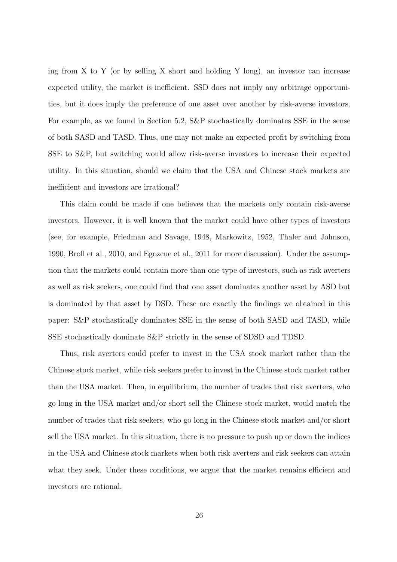ing from X to Y (or by selling X short and holding Y long), an investor can increase expected utility, the market is inefficient. SSD does not imply any arbitrage opportunities, but it does imply the preference of one asset over another by risk-averse investors. For example, as we found in Section 5.2, S&P stochastically dominates SSE in the sense of both SASD and TASD. Thus, one may not make an expected profit by switching from SSE to S&P, but switching would allow risk-averse investors to increase their expected utility. In this situation, should we claim that the USA and Chinese stock markets are inefficient and investors are irrational?

This claim could be made if one believes that the markets only contain risk-averse investors. However, it is well known that the market could have other types of investors (see, for example, Friedman and Savage, 1948, Markowitz, 1952, Thaler and Johnson, 1990, Broll et al., 2010, and Egozcue et al., 2011 for more discussion). Under the assumption that the markets could contain more than one type of investors, such as risk averters as well as risk seekers, one could find that one asset dominates another asset by ASD but is dominated by that asset by DSD. These are exactly the findings we obtained in this paper: S&P stochastically dominates SSE in the sense of both SASD and TASD, while SSE stochastically dominate S&P strictly in the sense of SDSD and TDSD.

Thus, risk averters could prefer to invest in the USA stock market rather than the Chinese stock market, while risk seekers prefer to invest in the Chinese stock market rather than the USA market. Then, in equilibrium, the number of trades that risk averters, who go long in the USA market and/or short sell the Chinese stock market, would match the number of trades that risk seekers, who go long in the Chinese stock market and/or short sell the USA market. In this situation, there is no pressure to push up or down the indices in the USA and Chinese stock markets when both risk averters and risk seekers can attain what they seek. Under these conditions, we argue that the market remains efficient and investors are rational.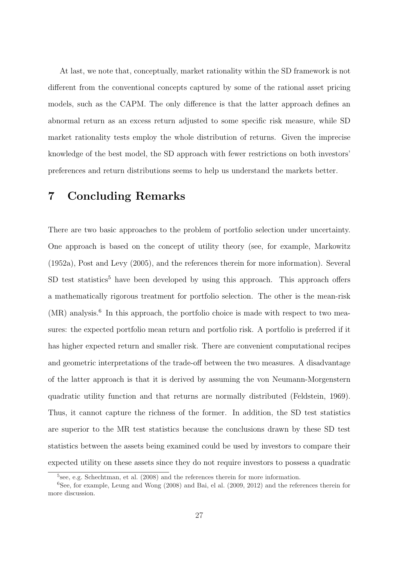At last, we note that, conceptually, market rationality within the SD framework is not different from the conventional concepts captured by some of the rational asset pricing models, such as the CAPM. The only difference is that the latter approach defines an abnormal return as an excess return adjusted to some specific risk measure, while SD market rationality tests employ the whole distribution of returns. Given the imprecise knowledge of the best model, the SD approach with fewer restrictions on both investors' preferences and return distributions seems to help us understand the markets better.

## 7 Concluding Remarks

There are two basic approaches to the problem of portfolio selection under uncertainty. One approach is based on the concept of utility theory (see, for example, Markowitz (1952a), Post and Levy (2005), and the references therein for more information). Several  $SD$  test statistics<sup>5</sup> have been developed by using this approach. This approach offers a mathematically rigorous treatment for portfolio selection. The other is the mean-risk (MR) analysis.<sup>6</sup> In this approach, the portfolio choice is made with respect to two measures: the expected portfolio mean return and portfolio risk. A portfolio is preferred if it has higher expected return and smaller risk. There are convenient computational recipes and geometric interpretations of the trade-off between the two measures. A disadvantage of the latter approach is that it is derived by assuming the von Neumann-Morgenstern quadratic utility function and that returns are normally distributed (Feldstein, 1969). Thus, it cannot capture the richness of the former. In addition, the SD test statistics are superior to the MR test statistics because the conclusions drawn by these SD test statistics between the assets being examined could be used by investors to compare their expected utility on these assets since they do not require investors to possess a quadratic

<sup>&</sup>lt;sup>5</sup>see, e.g. Schechtman, et al. (2008) and the references therein for more information.

<sup>6</sup>See, for example, Leung and Wong (2008) and Bai, el al. (2009, 2012) and the references therein for more discussion.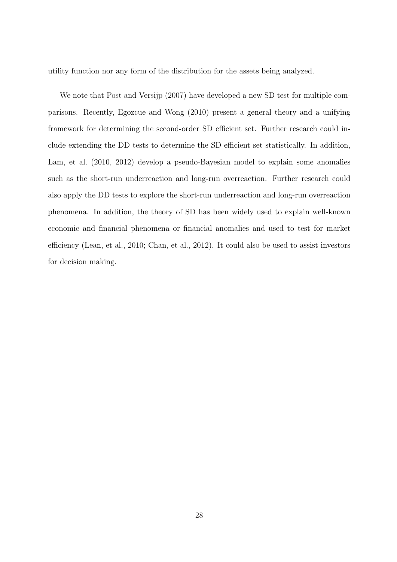utility function nor any form of the distribution for the assets being analyzed.

We note that Post and Versijp (2007) have developed a new SD test for multiple comparisons. Recently, Egozcue and Wong (2010) present a general theory and a unifying framework for determining the second-order SD efficient set. Further research could include extending the DD tests to determine the SD efficient set statistically. In addition, Lam, et al. (2010, 2012) develop a pseudo-Bayesian model to explain some anomalies such as the short-run underreaction and long-run overreaction. Further research could also apply the DD tests to explore the short-run underreaction and long-run overreaction phenomena. In addition, the theory of SD has been widely used to explain well-known economic and financial phenomena or financial anomalies and used to test for market efficiency (Lean, et al., 2010; Chan, et al., 2012). It could also be used to assist investors for decision making.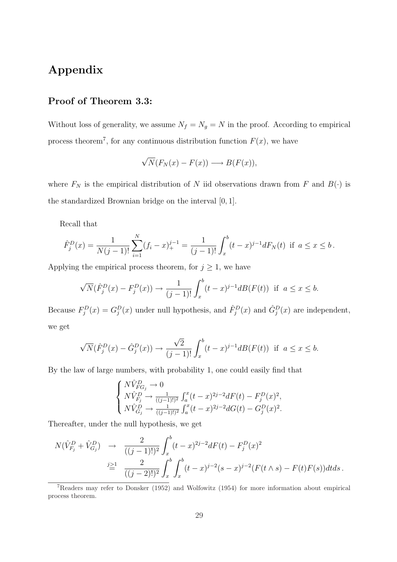## Appendix

### Proof of Theorem 3.3:

Without loss of generality, we assume  $N_f = N_g = N$  in the proof. According to empirical process theorem<sup>7</sup>, for any continuous distribution function  $F(x)$ , we have

$$
\sqrt{N}(F_N(x) - F(x)) \longrightarrow B(F(x)),
$$

where  $F_N$  is the empirical distribution of N iid observations drawn from F and  $B(\cdot)$  is the standardized Brownian bridge on the interval [0, 1].

Recall that

$$
\hat{F}_j^D(x) = \frac{1}{N(j-1)!} \sum_{i=1}^N (f_i - x)_+^{j-1} = \frac{1}{(j-1)!} \int_x^b (t-x)^{j-1} dF_N(t) \text{ if } a \le x \le b.
$$

Applying the empirical process theorem, for  $j \geq 1$ , we have

$$
\sqrt{N}(\hat{F}_j^D(x) - F_j^D(x)) \to \frac{1}{(j-1)!} \int_x^b (t-x)^{j-1} d\mathcal{B}(F(t)) \text{ if } a \le x \le b.
$$

Because  $F_j^D(x) = G_j^D(x)$  under null hypothesis, and  $\hat{F}_j^D(x)$  and  $\hat{G}_j^D(x)$  are independent, we get

$$
\sqrt{N}(\hat{F}_j^D(x) - \hat{G}_j^D(x)) \to \frac{\sqrt{2}}{(j-1)!} \int_x^b (t-x)^{j-1} d\mathcal{B}(F(t)) \text{ if } a \le x \le b.
$$

By the law of large numbers, with probability 1, one could easily find that

$$
\left\{ \begin{aligned} &N\hat{V}_{FG_j}^D \rightarrow 0 \\ &N\hat{V}_{F_j}^D \rightarrow \frac{1}{((j-1)!)^2} \int_a^x (t-x)^{2j-2} dF(t) - F_j^D(x)^2, \\ &N\hat{V}_{G_j}^D \rightarrow \frac{1}{((j-1)!)^2} \int_a^x (t-x)^{2j-2} dG(t) - G_j^D(x)^2. \end{aligned} \right.
$$

Thereafter, under the null hypothesis, we get

$$
N(\hat{V}_{F_j}^D + \hat{V}_{G_j}^D) \rightarrow \frac{2}{((j-1)!)^2} \int_x^b (t-x)^{2j-2} dF(t) - F_j^D(x)^2
$$
  

$$
\stackrel{j \geq 1}{=} \frac{2}{((j-2)!)^2} \int_x^b \int_x^b (t-x)^{j-2} (s-x)^{j-2} (F(t \wedge s) - F(t)F(s)) dt ds.
$$

 $7$ Readers may refer to Donsker (1952) and Wolfowitz (1954) for more information about empirical process theorem.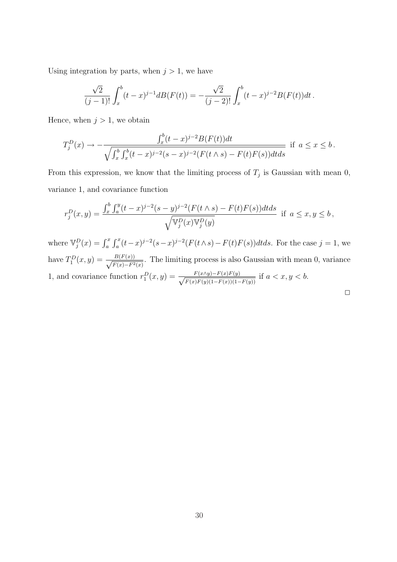Using integration by parts, when  $j > 1$ , we have

$$
\frac{\sqrt{2}}{(j-1)!} \int_x^b (t-x)^{j-1} d\mathcal{B}(F(t)) = -\frac{\sqrt{2}}{(j-2)!} \int_x^b (t-x)^{j-2} \mathcal{B}(F(t)) dt.
$$

Hence, when  $j > 1$ , we obtain

$$
T_j^D(x) \to -\frac{\int_x^b (t-x)^{j-2} B(F(t)) dt}{\sqrt{\int_x^b \int_x^b (t-x)^{j-2} (s-x)^{j-2} (F(t \wedge s) - F(t)F(s)) dt ds}} \text{ if } a \le x \le b.
$$

From this expression, we know that the limiting process of  $T_j$  is Gaussian with mean 0, variance 1, and covariance function

$$
r_j^D(x,y) = \frac{\int_x^b \int_a^y (t-x)^{j-2} (s-y)^{j-2} (F(t \wedge s) - F(t)F(s)) dt ds}{\sqrt{\mathbb{V}_j^D(x) \mathbb{V}_j^D(y)}} \text{ if } a \le x, y \le b,
$$

where  $\mathbb{V}_j^D(x) = \int_a^x$  $\int x^2$  $\int_a^x (t-x)^{j-2} (s-x)^{j-2} (F(t \wedge s) - F(t)F(s)) dt ds$ . For the case  $j = 1$ , we have  $T_1^D(x,y) = \frac{B(F(x))}{\sqrt{F(x)-F_x^2}}$  $\frac{B(F(x))}{F(x)-F^2(x)}$ . The limiting process is also Gaussian with mean 0, variance 1, and covariance function  $r_1^D(x,y) = \frac{F(x \wedge y) - F(x)F(y)}{\sqrt{F(x)F(y)(1 - F(x))}/1}$  $\frac{F(x \wedge y) - F(x)F(y)}{F(x)F(y)(1 - F(x))(1 - F(y))}$  if  $a < x, y < b$ .

| ___ |
|-----|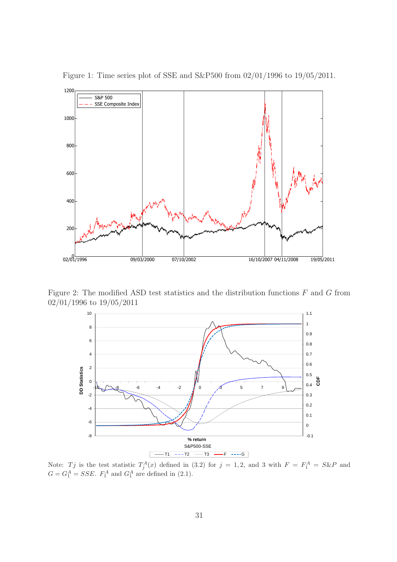

Figure 1: Time series plot of SSE and S&P500 from 02/01/1996 to 19/05/2011.

Figure 2: The modified ASD test statistics and the distribution functions  $F$  and  $G$  from 02/01/1996 to 19/05/2011



Note: Tj is the test statistic  $T_j^A(x)$  defined in (3.2) for  $j = 1, 2$ , and 3 with  $F = F_1^A = S\&P$  and  $G = G_1^A = SSE$ .  $F_1^A$  and  $G_1^A$  are defined in (2.1).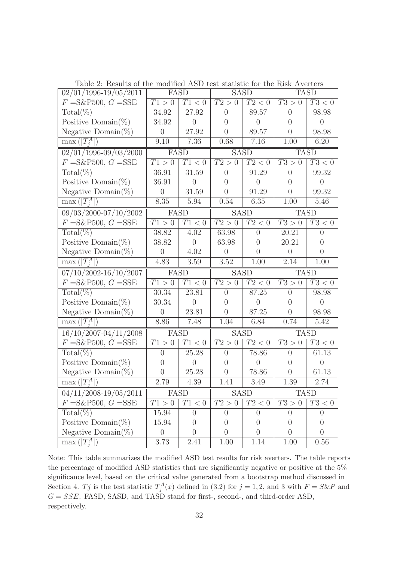| $02/01/1996 - 19/05/2011$             |                | FASD           |                   | <b>SASD</b>         |                   | <b>TASD</b>         |  |
|---------------------------------------|----------------|----------------|-------------------|---------------------|-------------------|---------------------|--|
| $F = S\&P500, G = SSE$                | T1>0           | T1 < 0         | $\overline{T2>0}$ | T2 < 0              | T3>0              | $\overline{T3} < 0$ |  |
| $Total(\%)$                           | 34.92          | 27.92          | $\overline{0}$    | 89.57               | $\theta$          | 98.98               |  |
| Positive Domain(%)                    | 34.92          | $\overline{0}$ | $\overline{0}$    | $\overline{0}$      | $\overline{0}$    | $\overline{0}$      |  |
| Negative Domain( $\%$ )               | $\theta$       | $27.92\,$      | $\overline{0}$    | 89.57               | $\overline{0}$    | 98.98               |  |
| $\max( T_i^A )$                       | 9.10           | 7.36           | 0.68              | 7.16                | 1.00              | 6.20                |  |
| $02/01/1996 - 09/03/2000$             | FASD           |                | <b>SASD</b>       |                     | <b>TASD</b>       |                     |  |
| $F = S\&P500, G = SSE$                | T1>0           | T1<0           | $\overline{T2>0}$ | T2 < 0              | T3>0              | T3 < 0              |  |
| $\text{Total}(\%)$                    | 36.91          | 31.59          | $\overline{0}$    | 91.29               | $\overline{0}$    | 99.32               |  |
| Positive Domain $(\%)$                | 36.91          | $\overline{0}$ | $\overline{0}$    | $\overline{0}$      | $\overline{0}$    | $\overline{0}$      |  |
| Negative Domain(%)                    | $\theta$       | $31.59\,$      | $\overline{0}$    | 91.29               | $\overline{0}$    | 99.32               |  |
| $\max( T_i^A )$                       | 8.35           | 5.94           | 0.54              | 6.35                | $1.00\,$          | 5.46                |  |
| 09/03/2000-07/10/2002                 | FASD           |                | <b>SASD</b>       |                     | <b>TASD</b>       |                     |  |
| $F = S\&P500, G = SSE$                | T1>0           | T1<0           | T2>0              | T2 < 0              | T3 > 0            | T3 < 0              |  |
| $\text{Total}(\%)$                    | 38.82          | 4.02           | 63.98             | $\overline{0}$      | 20.21             | $\overline{0}$      |  |
| Positive Domain(%)                    | 38.82          | $\overline{0}$ | 63.98             | $\overline{0}$      | 20.21             | $\theta$            |  |
| Negative Domain(%)                    | $\overline{0}$ | 4.02           | $\overline{0}$    | $\overline{0}$      | $\theta$          | $\overline{0}$      |  |
| $\max\left(\left T_i^A\right \right)$ | 4.83           | 3.59           | 3.52              | 1.00                | 2.14              | 1.00                |  |
|                                       |                |                |                   |                     | <b>TASD</b>       |                     |  |
| $07/10/2002 - 16/10/2007$             | FASD           |                | <b>SASD</b>       |                     |                   |                     |  |
| $F = S\&P500, G = SSE$                | T1>0           | T1<0           | $\overline{T2>0}$ | T2 < 0              | T3 > 0            | T3 < 0              |  |
| $Total(\%)$                           | 30.34          | 23.81          | $\overline{0}$    | 87.25               | $\overline{0}$    | 98.98               |  |
| Positive Domain(%)                    | 30.34          | $\overline{0}$ | $\overline{0}$    | $\overline{0}$      | $\theta$          | $\overline{0}$      |  |
| Negative Domain(%)                    | $\overline{0}$ | 23.81          | $\overline{0}$    | 87.25               | $\overline{0}$    | 98.98               |  |
| $\max\left(\left T_i^A\right \right)$ | 8.86           | 7.48           | $1.04\,$          | 6.84                | 0.74              | 5.42                |  |
| $16/10/2007 - 04/11/2008$             | FASD           |                | <b>SASD</b>       |                     | <b>TASD</b>       |                     |  |
| $F = S\&P500, G = SSE$                | T1>0           | T1<0           | T2>0              | $\overline{T2} < 0$ | $\overline{T3>0}$ | T3 < 0              |  |
| $Total(\%)$                           | $\overline{0}$ | 25.28          | $\overline{0}$    | 78.86               | $\overline{0}$    | 61.13               |  |
| Positive Domain(%)                    | $\theta$       | $\overline{0}$ | $\overline{0}$    | $\overline{0}$      | $\overline{0}$    | $\overline{0}$      |  |
| Negative Domain(%)                    | $\overline{0}$ | 25.28          | $\overline{0}$    | 78.86               | $\overline{0}$    | 61.13               |  |
| $\max( T_i^A )$                       | 2.79           | 4.39           | 1.41              | 3.49                | 1.39              | 2.74                |  |
| $04/11/2008 - 19/05/2011$             |                | FASD           |                   | <b>SASD</b>         |                   | <b>TASD</b>         |  |
| $F = S\&P500, G = SSE$                | T1 > 0         | T1<0           | T2 > 0            | T2 < 0              | T3 > 0            | $\overline{T3}$ < 0 |  |
| $Total(\%)$                           | 15.94          | $\theta$       | $\overline{0}$    | $\theta$            | $\overline{0}$    | $\theta$            |  |
| Positive Domain(%)                    | 15.94          | $\overline{0}$ | $\overline{0}$    | $\overline{0}$      | $\overline{0}$    | $\overline{0}$      |  |
| Negative Domain(%)                    | $\theta$       | $\overline{0}$ | $\overline{0}$    | $\overline{0}$      | $\overline{0}$    | $\overline{0}$      |  |

Table 2: Results of the modified ASD test statistic for the Risk Averters

Note: This table summarizes the modified ASD test results for risk averters. The table reports the percentage of modified ASD statistics that are significantly negative or positive at the 5% significance level, based on the critical value generated from a bootstrap method discussed in Section 4. Tj is the test statistic  $T_j^A(x)$  defined in (3.2) for  $j = 1, 2$ , and 3 with  $F = S\&P$  and  $G = SSE$ . FASD, SASD, and TASD stand for first-, second-, and third-order ASD, respectively.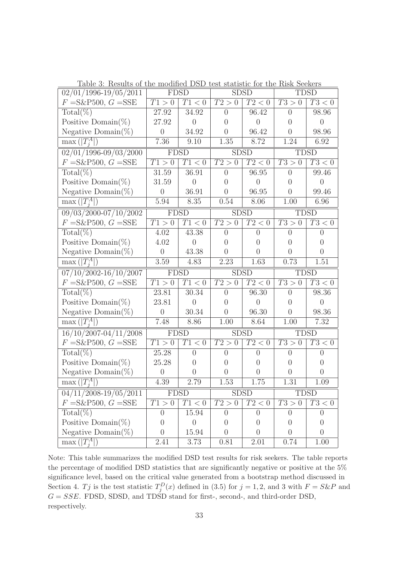| $02/01/1996 - 19/05/2011$             | <b>FDSD</b><br><b>SDSD</b> |                | <b>TDSD</b>       |                     |                   |                     |
|---------------------------------------|----------------------------|----------------|-------------------|---------------------|-------------------|---------------------|
| $F = S\&P500, G = SSE$                | T1>0                       | T1<0           | T2>0              | $\overline{T2} < 0$ | T3>0              | $\overline{T3} < 0$ |
| $\text{Total}(\%\)$                   | 27.92                      | 34.92          | $\overline{0}$    | 96.42               | $\overline{0}$    | 98.96               |
| Positive Domain(%)                    | 27.92                      | $\overline{0}$ | $\left( \right)$  | $\overline{0}$      | $\theta$          | $\overline{0}$      |
| Negative Domain(%)                    | $\overline{0}$             | 34.92          | $\overline{0}$    | 96.42               | $\overline{0}$    | 98.96               |
| $\max( T_i^A )$                       | 7.36                       | 9.10           | 1.35              | 8.72                | 1.24              | 6.92                |
| $02/01/1996 - 09/03/2000$             | <b>FDSD</b>                |                | <b>SDSD</b>       |                     | <b>TDSD</b>       |                     |
| $F = S\&P500, G = SSE$                | T1>0                       | T1<0           | $\overline{T2>0}$ | T2 < 0              | T3 > 0            | T3 < 0              |
| $Total(\%)$                           | 31.59                      | 36.91          | $\overline{0}$    | 96.95               | $\overline{0}$    | 99.46               |
| Positive Domain(%)                    | 31.59                      | $\overline{0}$ | $\theta$          | $\overline{0}$      | $\overline{0}$    | $\overline{0}$      |
| Negative Domain $(\%)$                | $\theta$                   | 36.91          | $\overline{0}$    | 96.95               | $\overline{0}$    | 99.46               |
| $\max( T_i^A )$                       | 5.94                       | 8.35           | 0.54              | 8.06                | 1.00              | 6.96                |
| 09/03/2000-07/10/2002                 | <b>FDSD</b>                |                | <b>SDSD</b>       |                     | <b>TDSD</b>       |                     |
| $F = S\&P500, G = SSE$                | T1>0                       | T1<0           | T2>0              | T2 < 0              | T3 > 0            | T3 < 0              |
| $Total(\%)$                           | 4.02                       | 43.38          | $\overline{0}$    | $\overline{0}$      | 0                 | $\theta$            |
| Positive Domain(%)                    | 4.02                       | $\overline{0}$ | $\theta$          | $\overline{0}$      | $\left( \right)$  | $\theta$            |
| Negative Domain(%)                    | $\overline{0}$             | 43.38          | $\overline{0}$    | $\overline{0}$      | $\theta$          | $\overline{0}$      |
| $\max( T_i^A )$                       | 3.59                       | 4.83           | 2.23              | 1.63                | 0.73              | 1.51                |
|                                       |                            |                |                   |                     |                   |                     |
| $07/10/2002 - 16/10/2007$             | <b>FDSD</b>                |                | <b>SDSD</b>       |                     | <b>TDSD</b>       |                     |
| $F = S\&P500, G = SSE$                | T1>0                       | T1<0           | T2>0              | $\overline{T}2 < 0$ | T3 > 0            | T3 < 0              |
| $\text{Total}(\overline{\%})$         | 23.81                      | 30.34          | $\overline{0}$    | 96.30               | $\overline{0}$    | 98.36               |
| Positive Domain(%)                    | 23.81                      | $\overline{0}$ | $\overline{0}$    | $\overline{0}$      | $\overline{0}$    | $\overline{0}$      |
| Negative Domain $(\%)$                | $\overline{0}$             | 30.34          | $\overline{0}$    | 96.30               | $\overline{0}$    | 98.36               |
| $\max( T_i^A )$                       | 7.48                       | 8.86           | 1.00              | 8.64                | 1.00              | 7.32                |
| $16/10/2007 - 04/11/2008$             | <b>FDSD</b>                |                |                   | <b>SDSD</b>         | <b>TDSD</b>       |                     |
| $F = S\&P500, G = SSE$                | T1>0                       | T1<0           | T2 > 0            | $\overline{T}2 < 0$ | T3 > 0            | $\overline{T}3 < 0$ |
| $Total(\%)$                           | 25.28                      | $\overline{0}$ | $\overline{0}$    | $\overline{0}$      | $\overline{0}$    | $\overline{0}$      |
| Positive Domain(%)                    | 25.28                      | $\overline{0}$ | $\overline{0}$    | $\theta$            | 0                 | $\theta$            |
| Negative Domain $(\%)$                | $\overline{0}$             | $\theta$       | $\overline{0}$    | $\overline{0}$      | $\theta$          | $\overline{0}$      |
| $\max\left(\left T_i^A\right \right)$ | 4.39                       | 2.79           | 1.53              | 1.75                | 1.31              | 1.09                |
| $04/11/2008 - 19/05/2011$             |                            | <b>FDSD</b>    |                   | <b>SDSD</b>         |                   | <b>TDSD</b>         |
| $F = S\&P500, G = SSE$                | $\overline{T}1>0$          | T1<0           | T2>0              | $\overline{T}2 < 0$ | $\overline{T}3>0$ | T3 < 0              |
| $Total(\%)$                           | $\overline{0}$             | 15.94          | $\theta$          | $\theta$            | $\overline{0}$    | $\overline{0}$      |
| Positive Domain(%)                    | $\overline{0}$             | $\theta$       | $\overline{0}$    | $\theta$            | $\overline{0}$    | $\overline{0}$      |
| Negative Domain( $\%$ )               | $\overline{0}$             | 15.94          | $\overline{0}$    | $\overline{0}$      | $\overline{0}$    | $\theta$            |

Table 3: Results of the modified DSD test statistic for the Risk Seekers

Note: This table summarizes the modified DSD test results for risk seekers. The table reports the percentage of modified DSD statistics that are significantly negative or positive at the 5% significance level, based on the critical value generated from a bootstrap method discussed in Section 4. Tj is the test statistic  $T_j^D(x)$  defined in (3.5) for  $j = 1, 2$ , and 3 with  $F = S\&P$  and  $G = SSE$ . FDSD, SDSD, and TDSD stand for first-, second-, and third-order DSD, respectively.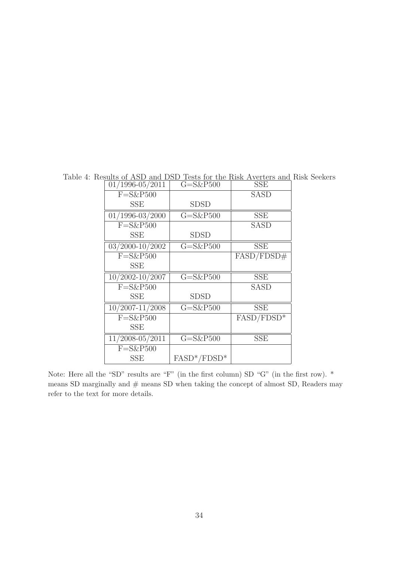| $01/1996 - 05/2011$           | $G = S\&P500$ | <b>SSE</b>   |
|-------------------------------|---------------|--------------|
| $F = S\&P500$                 |               | <b>SASD</b>  |
| SSE                           | SDSD          |              |
| $\overline{01/1996}$ -03/2000 | $G = S\&P500$ | <b>SSE</b>   |
| $F = S\&P500$                 |               | <b>SASD</b>  |
| SSE                           | SDSD          |              |
| 03/2000-10/2002               | $G = S\&P500$ | <b>SSE</b>   |
| $F = S\&P500$                 |               | FASD/FDSD#   |
| SSE                           |               |              |
| $\overline{10/2002}$ -10/2007 | $G = S\&P500$ | <b>SSE</b>   |
| $F = S\&P500$                 |               | SASD         |
| SSE                           | <b>SDSD</b>   |              |
|                               |               |              |
| $10/2007 - 11/2008$           | $G = S\&P500$ | <b>SSE</b>   |
| $F = S\&P500$                 |               | $FASD/FDSD*$ |
| SSE                           |               |              |
| 11/2008-05/2011               | $G = S\&P500$ | <b>SSE</b>   |
| $F = S\&P500$                 |               |              |

Table 4: Results of ASD and DSD Tests for the Risk Averters and Risk Seekers

Note: Here all the "SD" results are "F" (in the first column) SD "G" (in the first row). \* means SD marginally and  $#$  means SD when taking the concept of almost SD, Readers may refer to the text for more details.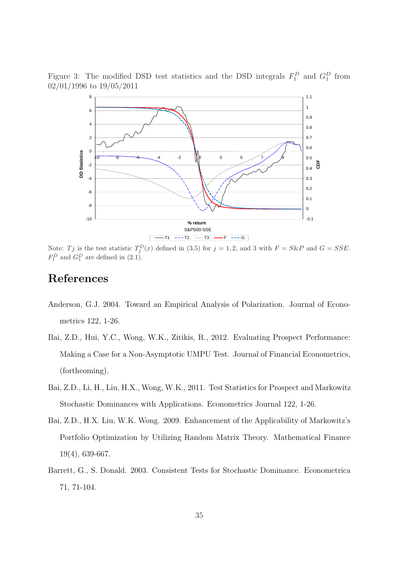Figure 3: The modified DSD test statistics and the DSD integrals  $F_1^D$  and  $G_1^D$  from 02/01/1996 to 19/05/2011



Note: Tj is the test statistic  $T_j^D(x)$  defined in (3.5) for  $j = 1, 2$ , and 3 with  $F = S\&P$  and  $G = SSE$ .  $F_1^D$  and  $G_1^D$  are defined in  $(2.1)$ .

## References

- Anderson, G.J. 2004. Toward an Empirical Analysis of Polarization. Journal of Econometrics 122, 1-26.
- Bai, Z.D., Hui, Y.C., Wong, W.K., Zitikis, R., 2012. Evaluating Prospect Performance: Making a Case for a Non-Asymptotic UMPU Test. Journal of Financial Econometrics, (forthcoming).
- Bai, Z.D., Li, H., Liu, H.X., Wong, W.K., 2011. Test Statistics for Prospect and Markowitz Stochastic Dominances with Applications. Econometrics Journal 122, 1-26.
- Bai, Z.D., H.X. Liu, W.K. Wong. 2009. Enhancement of the Applicability of Markowitz's Portfolio Optimization by Utilizing Random Matrix Theory. Mathematical Finance 19(4), 639-667.
- Barrett, G., S. Donald. 2003. Consistent Tests for Stochastic Dominance. Econometrica 71, 71-104.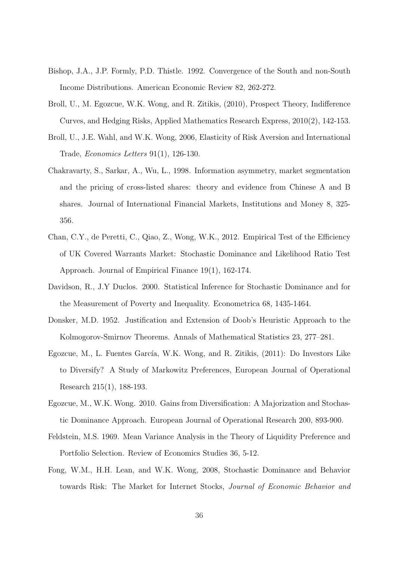- Bishop, J.A., J.P. Formly, P.D. Thistle. 1992. Convergence of the South and non-South Income Distributions. American Economic Review 82, 262-272.
- Broll, U., M. Egozcue, W.K. Wong, and R. Zitikis, (2010), Prospect Theory, Indifference Curves, and Hedging Risks, Applied Mathematics Research Express, 2010(2), 142-153.
- Broll, U., J.E. Wahl, and W.K. Wong, 2006, Elasticity of Risk Aversion and International Trade, Economics Letters 91(1), 126-130.
- Chakravarty, S., Sarkar, A., Wu, L., 1998. Information asymmetry, market segmentation and the pricing of cross-listed shares: theory and evidence from Chinese A and B shares. Journal of International Financial Markets, Institutions and Money 8, 325- 356.
- Chan, C.Y., de Peretti, C., Qiao, Z., Wong, W.K., 2012. Empirical Test of the Efficiency of UK Covered Warrants Market: Stochastic Dominance and Likelihood Ratio Test Approach. Journal of Empirical Finance 19(1), 162-174.
- Davidson, R., J.Y Duclos. 2000. Statistical Inference for Stochastic Dominance and for the Measurement of Poverty and Inequality. Econometrica 68, 1435-1464.
- Donsker, M.D. 1952. Justification and Extension of Doob's Heuristic Approach to the Kolmogorov-Smirnov Theorems. Annals of Mathematical Statistics 23, 277–281.
- Egozcue, M., L. Fuentes García, W.K. Wong, and R. Zitikis, (2011): Do Investors Like to Diversify? A Study of Markowitz Preferences, European Journal of Operational Research 215(1), 188-193.
- Egozcue, M., W.K. Wong. 2010. Gains from Diversification: A Majorization and Stochastic Dominance Approach. European Journal of Operational Research 200, 893-900.
- Feldstein, M.S. 1969. Mean Variance Analysis in the Theory of Liquidity Preference and Portfolio Selection. Review of Economics Studies 36, 5-12.
- Fong, W.M., H.H. Lean, and W.K. Wong, 2008, Stochastic Dominance and Behavior towards Risk: The Market for Internet Stocks, Journal of Economic Behavior and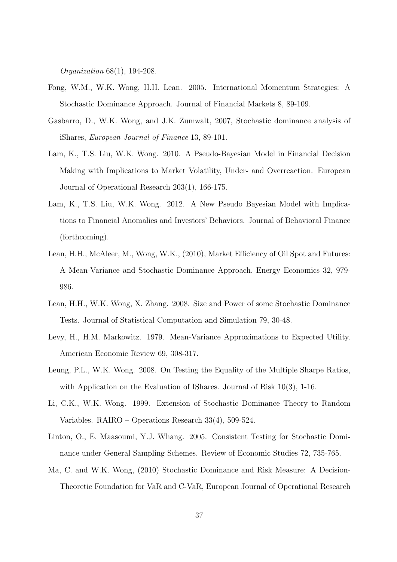Organization 68(1), 194-208.

- Fong, W.M., W.K. Wong, H.H. Lean. 2005. International Momentum Strategies: A Stochastic Dominance Approach. Journal of Financial Markets 8, 89-109.
- Gasbarro, D., W.K. Wong, and J.K. Zumwalt, 2007, Stochastic dominance analysis of iShares, European Journal of Finance 13, 89-101.
- Lam, K., T.S. Liu, W.K. Wong. 2010. A Pseudo-Bayesian Model in Financial Decision Making with Implications to Market Volatility, Under- and Overreaction. European Journal of Operational Research 203(1), 166-175.
- Lam, K., T.S. Liu, W.K. Wong. 2012. A New Pseudo Bayesian Model with Implications to Financial Anomalies and Investors' Behaviors. Journal of Behavioral Finance (forthcoming).
- Lean, H.H., McAleer, M., Wong, W.K., (2010), Market Efficiency of Oil Spot and Futures: A Mean-Variance and Stochastic Dominance Approach, Energy Economics 32, 979- 986.
- Lean, H.H., W.K. Wong, X. Zhang. 2008. Size and Power of some Stochastic Dominance Tests. Journal of Statistical Computation and Simulation 79, 30-48.
- Levy, H., H.M. Markowitz. 1979. Mean-Variance Approximations to Expected Utility. American Economic Review 69, 308-317.
- Leung, P.L., W.K. Wong. 2008. On Testing the Equality of the Multiple Sharpe Ratios, with Application on the Evaluation of IShares. Journal of Risk 10(3), 1-16.
- Li, C.K., W.K. Wong. 1999. Extension of Stochastic Dominance Theory to Random Variables. RAIRO – Operations Research 33(4), 509-524.
- Linton, O., E. Maasoumi, Y.J. Whang. 2005. Consistent Testing for Stochastic Dominance under General Sampling Schemes. Review of Economic Studies 72, 735-765.
- Ma, C. and W.K. Wong, (2010) Stochastic Dominance and Risk Measure: A Decision-Theoretic Foundation for VaR and C-VaR, European Journal of Operational Research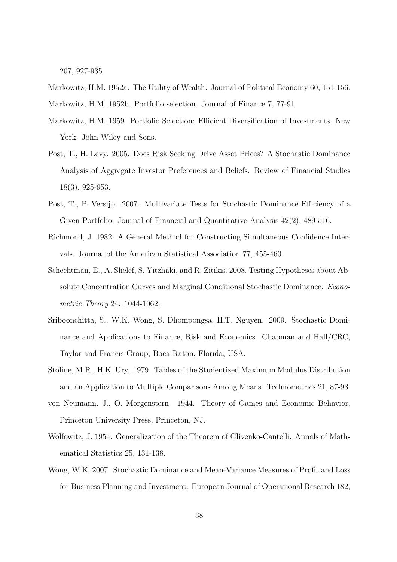207, 927-935.

Markowitz, H.M. 1952a. The Utility of Wealth. Journal of Political Economy 60, 151-156. Markowitz, H.M. 1952b. Portfolio selection. Journal of Finance 7, 77-91.

- Markowitz, H.M. 1959. Portfolio Selection: Efficient Diversification of Investments. New York: John Wiley and Sons.
- Post, T., H. Levy. 2005. Does Risk Seeking Drive Asset Prices? A Stochastic Dominance Analysis of Aggregate Investor Preferences and Beliefs. Review of Financial Studies 18(3), 925-953.
- Post, T., P. Versijp. 2007. Multivariate Tests for Stochastic Dominance Efficiency of a Given Portfolio. Journal of Financial and Quantitative Analysis 42(2), 489-516.
- Richmond, J. 1982. A General Method for Constructing Simultaneous Confidence Intervals. Journal of the American Statistical Association 77, 455-460.
- Schechtman, E., A. Shelef, S. Yitzhaki, and R. Zitikis. 2008. Testing Hypotheses about Absolute Concentration Curves and Marginal Conditional Stochastic Dominance. Econometric Theory 24: 1044-1062.
- Sriboonchitta, S., W.K. Wong, S. Dhompongsa, H.T. Nguyen. 2009. Stochastic Dominance and Applications to Finance, Risk and Economics. Chapman and Hall/CRC, Taylor and Francis Group, Boca Raton, Florida, USA.
- Stoline, M.R., H.K. Ury. 1979. Tables of the Studentized Maximum Modulus Distribution and an Application to Multiple Comparisons Among Means. Technometrics 21, 87-93.
- von Neumann, J., O. Morgenstern. 1944. Theory of Games and Economic Behavior. Princeton University Press, Princeton, NJ.
- Wolfowitz, J. 1954. Generalization of the Theorem of Glivenko-Cantelli. Annals of Mathematical Statistics 25, 131-138.
- Wong, W.K. 2007. Stochastic Dominance and Mean-Variance Measures of Profit and Loss for Business Planning and Investment. European Journal of Operational Research 182,